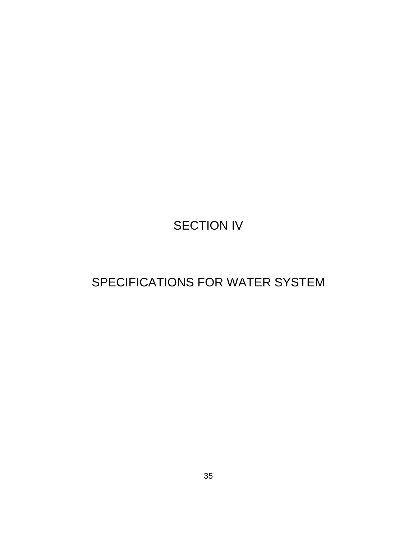# SECTION IV

# SPECIFICATIONS FOR WATER SYSTEM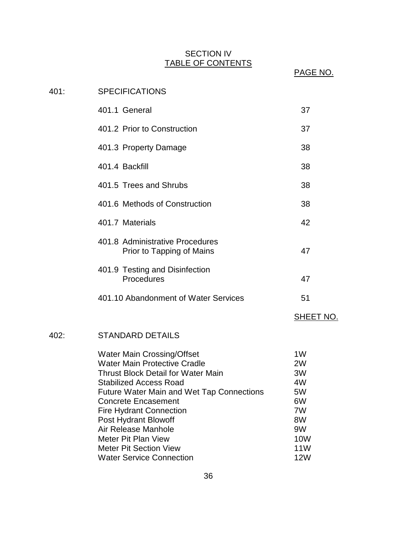# SECTION IV TABLE OF CONTENTS

PAGE NO.

# 401: SPECIFICATIONS 401.1 General 37 401.2 Prior to Construction 37 401.3 Property Damage 38 401.4 Backfill 38 401.5 Trees and Shrubs 38 401.6 Methods of Construction 38 401.7 Materials 401.7 Australians 42 401.8 Administrative Procedures Prior to Tapping of Mains 47 401.9 Testing and Disinfection Procedures 47 401.10 Abandonment of Water Services 51 SHEET NO. 402: STANDARD DETAILS Water Main Crossing/Offset 1W Water Main Protective Cradle 2W Thrust Block Detail for Water Main 3W Stabilized Access Road 4W Future Water Main and Wet Tap Connections 5W Concrete Encasement 6W Fire Hydrant Connection 7W Post Hydrant Blowoff 8W Air Release Manhole 9W Meter Pit Plan View 10W Meter Pit Section View 11W Water Service Connection **12W**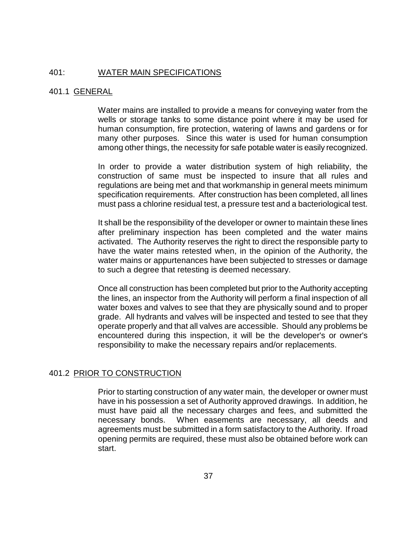## 401: WATER MAIN SPECIFICATIONS

# 401.1 GENERAL

Water mains are installed to provide a means for conveying water from the wells or storage tanks to some distance point where it may be used for human consumption, fire protection, watering of lawns and gardens or for many other purposes. Since this water is used for human consumption among other things, the necessity for safe potable water is easily recognized.

In order to provide a water distribution system of high reliability, the construction of same must be inspected to insure that all rules and regulations are being met and that workmanship in general meets minimum specification requirements. After construction has been completed, all lines must pass a chlorine residual test, a pressure test and a bacteriological test.

It shall be the responsibility of the developer or owner to maintain these lines after preliminary inspection has been completed and the water mains activated. The Authority reserves the right to direct the responsible party to have the water mains retested when, in the opinion of the Authority, the water mains or appurtenances have been subjected to stresses or damage to such a degree that retesting is deemed necessary.

Once all construction has been completed but prior to the Authority accepting the lines, an inspector from the Authority will perform a final inspection of all water boxes and valves to see that they are physically sound and to proper grade. All hydrants and valves will be inspected and tested to see that they operate properly and that all valves are accessible. Should any problems be encountered during this inspection, it will be the developer's or owner's responsibility to make the necessary repairs and/or replacements.

#### 401.2 PRIOR TO CONSTRUCTION

Prior to starting construction of any water main, the developer or owner must have in his possession a set of Authority approved drawings. In addition, he must have paid all the necessary charges and fees, and submitted the necessary bonds. When easements are necessary, all deeds and agreements must be submitted in a form satisfactory to the Authority. If road opening permits are required, these must also be obtained before work can start.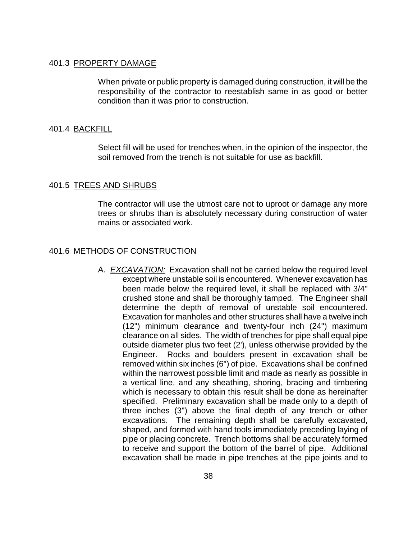#### 401.3 PROPERTY DAMAGE

When private or public property is damaged during construction, it will be the responsibility of the contractor to reestablish same in as good or better condition than it was prior to construction.

#### 401.4 BACKFILL

Select fill will be used for trenches when, in the opinion of the inspector, the soil removed from the trench is not suitable for use as backfill.

#### 401.5 TREES AND SHRUBS

The contractor will use the utmost care not to uproot or damage any more trees or shrubs than is absolutely necessary during construction of water mains or associated work.

## 401.6 METHODS OF CONSTRUCTION

A. *EXCAVATION:* Excavation shall not be carried below the required level except where unstable soil is encountered. Whenever excavation has been made below the required level, it shall be replaced with 3/4" crushed stone and shall be thoroughly tamped. The Engineer shall determine the depth of removal of unstable soil encountered. Excavation for manholes and other structures shall have a twelve inch (12") minimum clearance and twenty-four inch (24") maximum clearance on all sides. The width of trenches for pipe shall equal pipe outside diameter plus two feet (2'), unless otherwise provided by the Engineer. Rocks and boulders present in excavation shall be removed within six inches (6") of pipe. Excavations shall be confined within the narrowest possible limit and made as nearly as possible in a vertical line, and any sheathing, shoring, bracing and timbering which is necessary to obtain this result shall be done as hereinafter specified. Preliminary excavation shall be made only to a depth of three inches (3") above the final depth of any trench or other excavations. The remaining depth shall be carefully excavated, shaped, and formed with hand tools immediately preceding laying of pipe or placing concrete. Trench bottoms shall be accurately formed to receive and support the bottom of the barrel of pipe. Additional excavation shall be made in pipe trenches at the pipe joints and to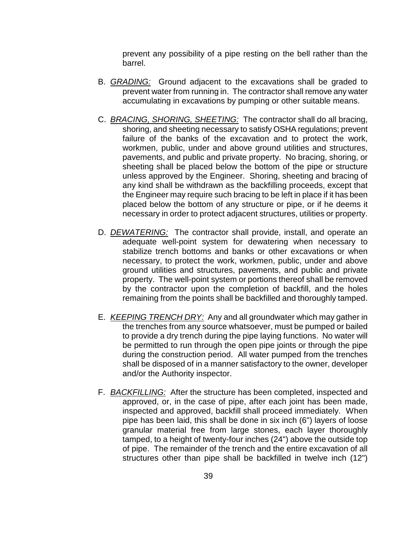prevent any possibility of a pipe resting on the bell rather than the barrel.

- B. *GRADING:* Ground adjacent to the excavations shall be graded to prevent water from running in. The contractor shall remove any water accumulating in excavations by pumping or other suitable means.
- C. *BRACING, SHORING, SHEETING:* The contractor shall do all bracing, shoring, and sheeting necessary to satisfy OSHA regulations; prevent failure of the banks of the excavation and to protect the work, workmen, public, under and above ground utilities and structures, pavements, and public and private property. No bracing, shoring, or sheeting shall be placed below the bottom of the pipe or structure unless approved by the Engineer. Shoring, sheeting and bracing of any kind shall be withdrawn as the backfilling proceeds, except that the Engineer may require such bracing to be left in place if it has been placed below the bottom of any structure or pipe, or if he deems it necessary in order to protect adjacent structures, utilities or property.
- D. *DEWATERING:* The contractor shall provide, install, and operate an adequate well-point system for dewatering when necessary to stabilize trench bottoms and banks or other excavations or when necessary, to protect the work, workmen, public, under and above ground utilities and structures, pavements, and public and private property. The well-point system or portions thereof shall be removed by the contractor upon the completion of backfill, and the holes remaining from the points shall be backfilled and thoroughly tamped.
- E. *KEEPING TRENCH DRY:* Any and all groundwater which may gather in the trenches from any source whatsoever, must be pumped or bailed to provide a dry trench during the pipe laying functions. No water will be permitted to run through the open pipe joints or through the pipe during the construction period. All water pumped from the trenches shall be disposed of in a manner satisfactory to the owner, developer and/or the Authority inspector.
- F. *BACKFILLING:* After the structure has been completed, inspected and approved, or, in the case of pipe, after each joint has been made, inspected and approved, backfill shall proceed immediately. When pipe has been laid, this shall be done in six inch (6") layers of loose granular material free from large stones, each layer thoroughly tamped, to a height of twenty-four inches (24") above the outside top of pipe. The remainder of the trench and the entire excavation of all structures other than pipe shall be backfilled in twelve inch (12")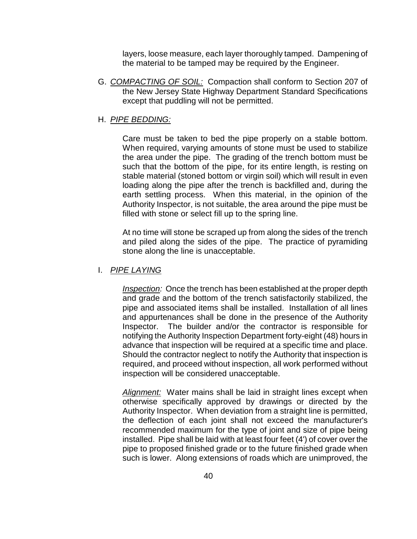layers, loose measure, each layer thoroughly tamped. Dampening of the material to be tamped may be required by the Engineer.

G. *COMPACTING OF SOIL:* Compaction shall conform to Section 207 of the New Jersey State Highway Department Standard Specifications except that puddling will not be permitted.

# H. *PIPE BEDDING:*

Care must be taken to bed the pipe properly on a stable bottom. When required, varying amounts of stone must be used to stabilize the area under the pipe. The grading of the trench bottom must be such that the bottom of the pipe, for its entire length, is resting on stable material (stoned bottom or virgin soil) which will result in even loading along the pipe after the trench is backfilled and, during the earth settling process. When this material, in the opinion of the Authority Inspector, is not suitable, the area around the pipe must be filled with stone or select fill up to the spring line.

At no time will stone be scraped up from along the sides of the trench and piled along the sides of the pipe. The practice of pyramiding stone along the line is unacceptable.

## I. *PIPE LAYING*

*Inspection:* Once the trench has been established at the proper depth and grade and the bottom of the trench satisfactorily stabilized, the pipe and associated items shall be installed. Installation of all lines and appurtenances shall be done in the presence of the Authority Inspector. The builder and/or the contractor is responsible for notifying the Authority Inspection Department forty-eight (48) hours in advance that inspection will be required at a specific time and place. Should the contractor neglect to notify the Authority that inspection is required, and proceed without inspection, all work performed without inspection will be considered unacceptable.

*Alignment:* Water mains shall be laid in straight lines except when otherwise specifically approved by drawings or directed by the Authority Inspector. When deviation from a straight line is permitted, the deflection of each joint shall not exceed the manufacturer's recommended maximum for the type of joint and size of pipe being installed. Pipe shall be laid with at least four feet (4') of cover over the pipe to proposed finished grade or to the future finished grade when such is lower. Along extensions of roads which are unimproved, the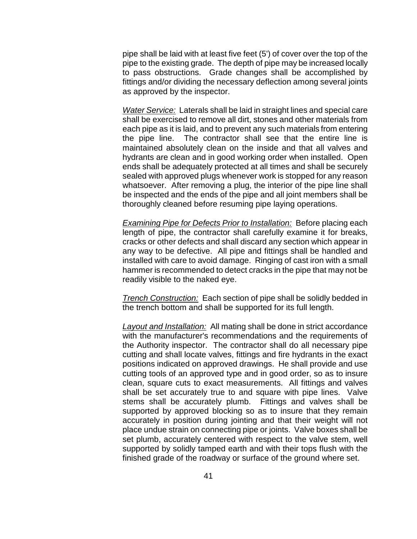pipe shall be laid with at least five feet (5') of cover over the top of the pipe to the existing grade. The depth of pipe may be increased locally to pass obstructions. Grade changes shall be accomplished by fittings and/or dividing the necessary deflection among several joints as approved by the inspector.

*Water Service:* Laterals shall be laid in straight lines and special care shall be exercised to remove all dirt, stones and other materials from each pipe as it is laid, and to prevent any such materials from entering the pipe line. The contractor shall see that the entire line is maintained absolutely clean on the inside and that all valves and hydrants are clean and in good working order when installed. Open ends shall be adequately protected at all times and shall be securely sealed with approved plugs whenever work is stopped for any reason whatsoever. After removing a plug, the interior of the pipe line shall be inspected and the ends of the pipe and all joint members shall be thoroughly cleaned before resuming pipe laying operations.

*Examining Pipe for Defects Prior to Installation:* Before placing each length of pipe, the contractor shall carefully examine it for breaks, cracks or other defects and shall discard any section which appear in any way to be defective. All pipe and fittings shall be handled and installed with care to avoid damage. Ringing of cast iron with a small hammer is recommended to detect cracks in the pipe that may not be readily visible to the naked eye.

*Trench Construction:* Each section of pipe shall be solidly bedded in the trench bottom and shall be supported for its full length.

*Layout and Installation:* All mating shall be done in strict accordance with the manufacturer's recommendations and the requirements of the Authority inspector. The contractor shall do all necessary pipe cutting and shall locate valves, fittings and fire hydrants in the exact positions indicated on approved drawings. He shall provide and use cutting tools of an approved type and in good order, so as to insure clean, square cuts to exact measurements. All fittings and valves shall be set accurately true to and square with pipe lines. Valve stems shall be accurately plumb. Fittings and valves shall be supported by approved blocking so as to insure that they remain accurately in position during jointing and that their weight will not place undue strain on connecting pipe or joints. Valve boxes shall be set plumb, accurately centered with respect to the valve stem, well supported by solidly tamped earth and with their tops flush with the finished grade of the roadway or surface of the ground where set.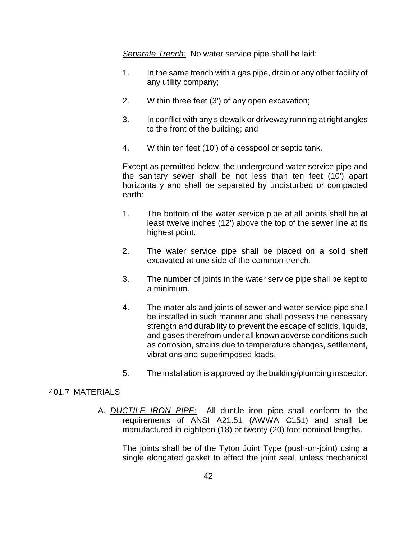*Separate Trench:* No water service pipe shall be laid:

- 1. In the same trench with a gas pipe, drain or any other facility of any utility company;
- 2. Within three feet (3') of any open excavation;
- 3. In conflict with any sidewalk or driveway running at right angles to the front of the building; and
- 4. Within ten feet (10') of a cesspool or septic tank.

Except as permitted below, the underground water service pipe and the sanitary sewer shall be not less than ten feet (10') apart horizontally and shall be separated by undisturbed or compacted earth:

- 1. The bottom of the water service pipe at all points shall be at least twelve inches (12') above the top of the sewer line at its highest point.
- 2. The water service pipe shall be placed on a solid shelf excavated at one side of the common trench.
- 3. The number of joints in the water service pipe shall be kept to a minimum.
- 4. The materials and joints of sewer and water service pipe shall be installed in such manner and shall possess the necessary strength and durability to prevent the escape of solids, liquids, and gases therefrom under all known adverse conditions such as corrosion, strains due to temperature changes, settlement, vibrations and superimposed loads.
- 5. The installation is approved by the building/plumbing inspector.

# 401.7 MATERIALS

A. *DUCTILE IRON PIPE:* All ductile iron pipe shall conform to the requirements of ANSI A21.51 (AWWA C151) and shall be manufactured in eighteen (18) or twenty (20) foot nominal lengths.

The joints shall be of the Tyton Joint Type (push-on-joint) using a single elongated gasket to effect the joint seal, unless mechanical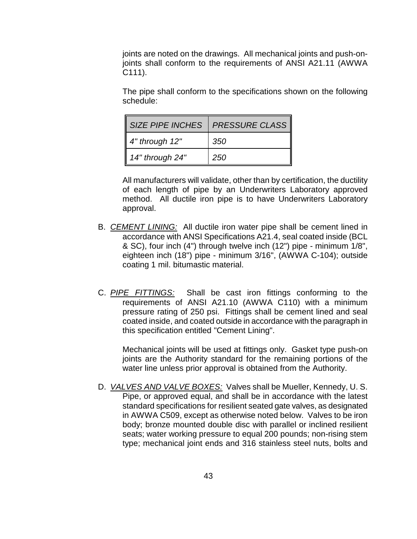joints are noted on the drawings. All mechanical joints and push-onjoints shall conform to the requirements of ANSI A21.11 (AWWA C111).

The pipe shall conform to the specifications shown on the following schedule:

| <b>SIZE PIPE INCHES</b> | <b>PRESSURE CLASS</b> |
|-------------------------|-----------------------|
| 4" through 12"          | 350                   |
| 14" through 24"         | 250                   |

All manufacturers will validate, other than by certification, the ductility of each length of pipe by an Underwriters Laboratory approved method. All ductile iron pipe is to have Underwriters Laboratory approval.

- B. *CEMENT LINING:* All ductile iron water pipe shall be cement lined in accordance with ANSI Specifications A21.4, seal coated inside (BCL & SC), four inch (4") through twelve inch (12") pipe - minimum 1/8", eighteen inch (18") pipe - minimum 3/16", (AWWA C-104); outside coating 1 mil. bitumastic material.
- C. *PIPE FITTINGS:* Shall be cast iron fittings conforming to the requirements of ANSI A21.10 (AWWA C110) with a minimum pressure rating of 250 psi. Fittings shall be cement lined and seal coated inside, and coated outside in accordance with the paragraph in this specification entitled "Cement Lining".

Mechanical joints will be used at fittings only. Gasket type push-on joints are the Authority standard for the remaining portions of the water line unless prior approval is obtained from the Authority.

D. *VALVES AND VALVE BOXES:* Valves shall be Mueller, Kennedy, U. S. Pipe, or approved equal, and shall be in accordance with the latest standard specifications for resilient seated gate valves, as designated in AWWA C509, except as otherwise noted below. Valves to be iron body; bronze mounted double disc with parallel or inclined resilient seats; water working pressure to equal 200 pounds; non-rising stem type; mechanical joint ends and 316 stainless steel nuts, bolts and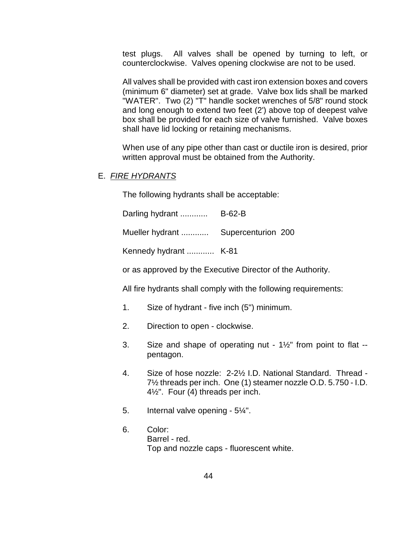test plugs. All valves shall be opened by turning to left, or counterclockwise. Valves opening clockwise are not to be used.

All valves shall be provided with cast iron extension boxes and covers (minimum 6" diameter) set at grade. Valve box lids shall be marked "WATER". Two (2) "T" handle socket wrenches of 5/8" round stock and long enough to extend two feet (2') above top of deepest valve box shall be provided for each size of valve furnished. Valve boxes shall have lid locking or retaining mechanisms.

When use of any pipe other than cast or ductile iron is desired, prior written approval must be obtained from the Authority.

# E. *FIRE HYDRANTS*

The following hydrants shall be acceptable:

Darling hydrant ............ B-62-B

Mueller hydrant ............ Supercenturion 200

Kennedy hydrant ............ K-81

or as approved by the Executive Director of the Authority.

All fire hydrants shall comply with the following requirements:

- 1. Size of hydrant five inch (5") minimum.
- 2. Direction to open clockwise.
- 3. Size and shape of operating nut  $1\frac{1}{2}$ " from point to flat -pentagon.
- 4. Size of hose nozzle: 2-2½ I.D. National Standard. Thread 7½ threads per inch. One (1) steamer nozzle O.D. 5.750 - I.D. 4½". Four (4) threads per inch.
- 5. Internal valve opening 5¼".
- 6. Color: Barrel - red. Top and nozzle caps - fluorescent white.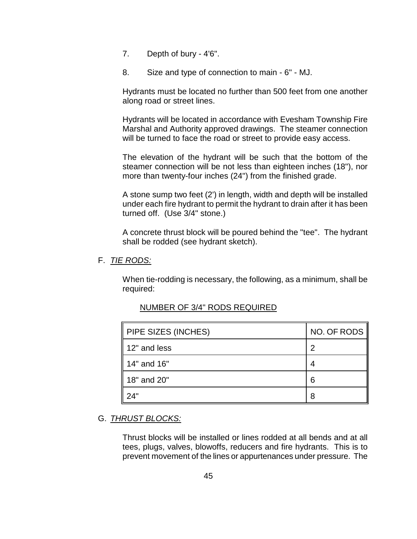- 7. Depth of bury 4'6".
- 8. Size and type of connection to main 6" MJ.

Hydrants must be located no further than 500 feet from one another along road or street lines.

Hydrants will be located in accordance with Evesham Township Fire Marshal and Authority approved drawings. The steamer connection will be turned to face the road or street to provide easy access.

The elevation of the hydrant will be such that the bottom of the steamer connection will be not less than eighteen inches (18"), nor more than twenty-four inches (24") from the finished grade.

A stone sump two feet (2') in length, width and depth will be installed under each fire hydrant to permit the hydrant to drain after it has been turned off. (Use 3/4" stone.)

A concrete thrust block will be poured behind the "tee". The hydrant shall be rodded (see hydrant sketch).

## F. *TIE RODS:*

When tie-rodding is necessary, the following, as a minimum, shall be required:

| $\parallel$ PIPE SIZES (INCHES) | NO. OF RODS |
|---------------------------------|-------------|
| 12" and less                    | 2           |
| 14" and 16"                     |             |
| <b>1</b> 8" and 20"             | 6           |
|                                 | 8           |

# NUMBER OF 3/4" RODS REQUIRED

# G. *THRUST BLOCKS:*

Thrust blocks will be installed or lines rodded at all bends and at all tees, plugs, valves, blowoffs, reducers and fire hydrants. This is to prevent movement of the lines or appurtenances under pressure. The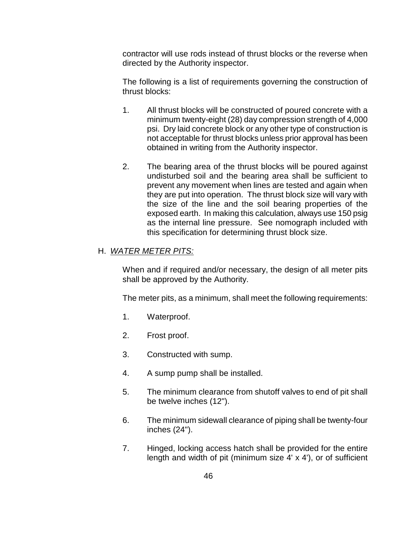contractor will use rods instead of thrust blocks or the reverse when directed by the Authority inspector.

The following is a list of requirements governing the construction of thrust blocks:

- 1. All thrust blocks will be constructed of poured concrete with a minimum twenty-eight (28) day compression strength of 4,000 psi. Dry laid concrete block or any other type of construction is not acceptable for thrust blocks unless prior approval has been obtained in writing from the Authority inspector.
- 2. The bearing area of the thrust blocks will be poured against undisturbed soil and the bearing area shall be sufficient to prevent any movement when lines are tested and again when they are put into operation. The thrust block size will vary with the size of the line and the soil bearing properties of the exposed earth. In making this calculation, always use 150 psig as the internal line pressure. See nomograph included with this specification for determining thrust block size.

# H. *WATER METER PITS:*

When and if required and/or necessary, the design of all meter pits shall be approved by the Authority.

The meter pits, as a minimum, shall meet the following requirements:

- 1. Waterproof.
- 2. Frost proof.
- 3. Constructed with sump.
- 4. A sump pump shall be installed.
- 5. The minimum clearance from shutoff valves to end of pit shall be twelve inches (12").
- 6. The minimum sidewall clearance of piping shall be twenty-four inches (24").
- 7. Hinged, locking access hatch shall be provided for the entire length and width of pit (minimum size 4' x 4'), or of sufficient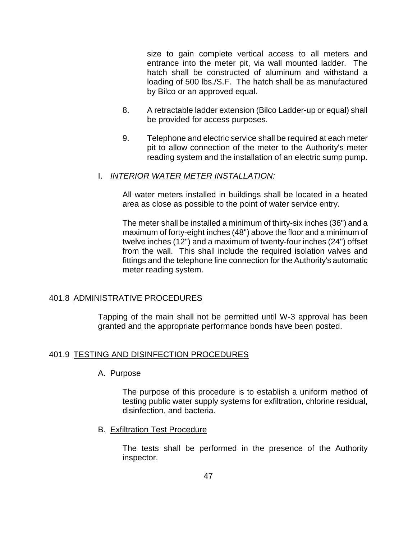size to gain complete vertical access to all meters and entrance into the meter pit, via wall mounted ladder. The hatch shall be constructed of aluminum and withstand a loading of 500 lbs./S.F. The hatch shall be as manufactured by Bilco or an approved equal.

- 8. A retractable ladder extension (Bilco Ladder-up or equal) shall be provided for access purposes.
- 9. Telephone and electric service shall be required at each meter pit to allow connection of the meter to the Authority's meter reading system and the installation of an electric sump pump.

## I. *INTERIOR WATER METER INSTALLATION:*

All water meters installed in buildings shall be located in a heated area as close as possible to the point of water service entry.

The meter shall be installed a minimum of thirty-six inches (36") and a maximum of forty-eight inches (48") above the floor and a minimum of twelve inches (12") and a maximum of twenty-four inches (24") offset from the wall. This shall include the required isolation valves and fittings and the telephone line connection for the Authority's automatic meter reading system.

#### 401.8 ADMINISTRATIVE PROCEDURES

Tapping of the main shall not be permitted until W-3 approval has been granted and the appropriate performance bonds have been posted.

#### 401.9 TESTING AND DISINFECTION PROCEDURES

#### A. Purpose

The purpose of this procedure is to establish a uniform method of testing public water supply systems for exfiltration, chlorine residual, disinfection, and bacteria.

B. Exfiltration Test Procedure

The tests shall be performed in the presence of the Authority inspector.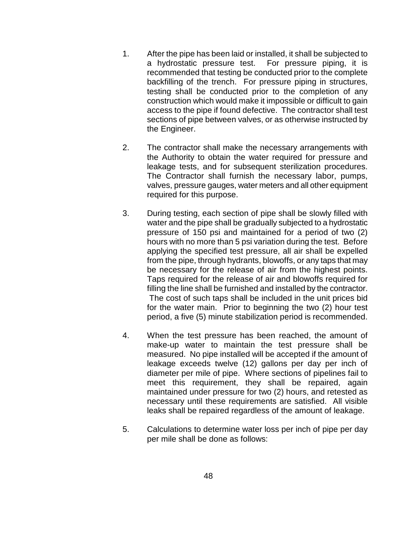- 1. After the pipe has been laid or installed, it shall be subjected to a hydrostatic pressure test. For pressure piping, it is recommended that testing be conducted prior to the complete backfilling of the trench. For pressure piping in structures, testing shall be conducted prior to the completion of any construction which would make it impossible or difficult to gain access to the pipe if found defective. The contractor shall test sections of pipe between valves, or as otherwise instructed by the Engineer.
- 2. The contractor shall make the necessary arrangements with the Authority to obtain the water required for pressure and leakage tests, and for subsequent sterilization procedures. The Contractor shall furnish the necessary labor, pumps, valves, pressure gauges, water meters and all other equipment required for this purpose.
- 3. During testing, each section of pipe shall be slowly filled with water and the pipe shall be gradually subjected to a hydrostatic pressure of 150 psi and maintained for a period of two (2) hours with no more than 5 psi variation during the test. Before applying the specified test pressure, all air shall be expelled from the pipe, through hydrants, blowoffs, or any taps that may be necessary for the release of air from the highest points. Taps required for the release of air and blowoffs required for filling the line shall be furnished and installed by the contractor. The cost of such taps shall be included in the unit prices bid for the water main. Prior to beginning the two (2) hour test period, a five (5) minute stabilization period is recommended.
- 4. When the test pressure has been reached, the amount of make-up water to maintain the test pressure shall be measured. No pipe installed will be accepted if the amount of leakage exceeds twelve (12) gallons per day per inch of diameter per mile of pipe. Where sections of pipelines fail to meet this requirement, they shall be repaired, again maintained under pressure for two (2) hours, and retested as necessary until these requirements are satisfied. All visible leaks shall be repaired regardless of the amount of leakage.
- 5. Calculations to determine water loss per inch of pipe per day per mile shall be done as follows: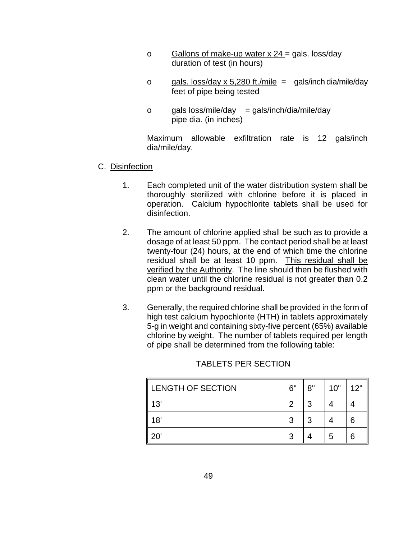- o Gallons of make-up water  $x$  24 = gals. loss/day duration of test (in hours)
- o gals. loss/day x 5,280 ft./mile = gals/inch dia/mile/day feet of pipe being tested
- o gals  $loss/mile/day = gals/inch/dia/mile/day$ pipe dia. (in inches)

Maximum allowable exfiltration rate is 12 gals/inch dia/mile/day.

- C. Disinfection
	- 1. Each completed unit of the water distribution system shall be thoroughly sterilized with chlorine before it is placed in operation. Calcium hypochlorite tablets shall be used for disinfection.
	- 2. The amount of chlorine applied shall be such as to provide a dosage of at least 50 ppm. The contact period shall be at least twenty-four (24) hours, at the end of which time the chlorine residual shall be at least 10 ppm. This residual shall be verified by the Authority. The line should then be flushed with clean water until the chlorine residual is not greater than 0.2 ppm or the background residual.
	- 3. Generally, the required chlorine shall be provided in the form of high test calcium hypochlorite (HTH) in tablets approximately 5-g in weight and containing sixty-five percent (65%) available chlorine by weight. The number of tablets required per length of pipe shall be determined from the following table:

| <b>LENGTH OF SECTION</b> | 6" | 8" | 10" | 12" |
|--------------------------|----|----|-----|-----|
| 13'                      | っ  | າ  |     |     |
| 18'                      | ີ  | ີ  |     | 6   |
| ⌒                        | ാ  |    | 5   | 6   |

# TABLETS PER SECTION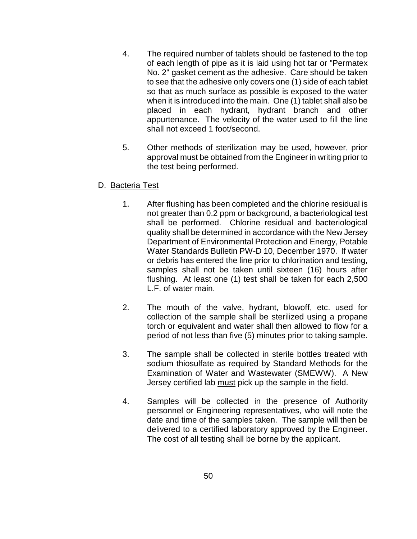- 4. The required number of tablets should be fastened to the top of each length of pipe as it is laid using hot tar or "Permatex No. 2" gasket cement as the adhesive. Care should be taken to see that the adhesive only covers one (1) side of each tablet so that as much surface as possible is exposed to the water when it is introduced into the main. One (1) tablet shall also be placed in each hydrant, hydrant branch and other appurtenance. The velocity of the water used to fill the line shall not exceed 1 foot/second.
- 5. Other methods of sterilization may be used, however, prior approval must be obtained from the Engineer in writing prior to the test being performed.
- D. Bacteria Test
	- 1. After flushing has been completed and the chlorine residual is not greater than 0.2 ppm or background, a bacteriological test shall be performed. Chlorine residual and bacteriological quality shall be determined in accordance with the New Jersey Department of Environmental Protection and Energy, Potable Water Standards Bulletin PW-D 10, December 1970. If water or debris has entered the line prior to chlorination and testing, samples shall not be taken until sixteen (16) hours after flushing. At least one (1) test shall be taken for each 2,500 L.F. of water main.
	- 2. The mouth of the valve, hydrant, blowoff, etc. used for collection of the sample shall be sterilized using a propane torch or equivalent and water shall then allowed to flow for a period of not less than five (5) minutes prior to taking sample.
	- 3. The sample shall be collected in sterile bottles treated with sodium thiosulfate as required by Standard Methods for the Examination of Water and Wastewater (SMEWW). A New Jersey certified lab must pick up the sample in the field.
	- 4. Samples will be collected in the presence of Authority personnel or Engineering representatives, who will note the date and time of the samples taken. The sample will then be delivered to a certified laboratory approved by the Engineer. The cost of all testing shall be borne by the applicant.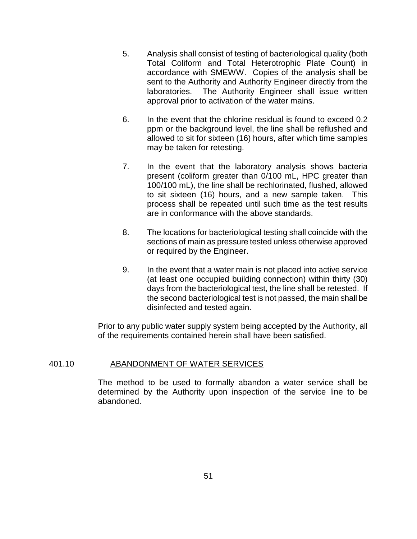- 5. Analysis shall consist of testing of bacteriological quality (both Total Coliform and Total Heterotrophic Plate Count) in accordance with SMEWW. Copies of the analysis shall be sent to the Authority and Authority Engineer directly from the laboratories. The Authority Engineer shall issue written approval prior to activation of the water mains.
- 6. In the event that the chlorine residual is found to exceed 0.2 ppm or the background level, the line shall be reflushed and allowed to sit for sixteen (16) hours, after which time samples may be taken for retesting.
- 7. In the event that the laboratory analysis shows bacteria present (coliform greater than 0/100 mL, HPC greater than 100/100 mL), the line shall be rechlorinated, flushed, allowed to sit sixteen (16) hours, and a new sample taken. This process shall be repeated until such time as the test results are in conformance with the above standards.
- 8. The locations for bacteriological testing shall coincide with the sections of main as pressure tested unless otherwise approved or required by the Engineer.
- 9. In the event that a water main is not placed into active service (at least one occupied building connection) within thirty (30) days from the bacteriological test, the line shall be retested. If the second bacteriological test is not passed, the main shall be disinfected and tested again.

Prior to any public water supply system being accepted by the Authority, all of the requirements contained herein shall have been satisfied.

# 401.10 ABANDONMENT OF WATER SERVICES

The method to be used to formally abandon a water service shall be determined by the Authority upon inspection of the service line to be abandoned.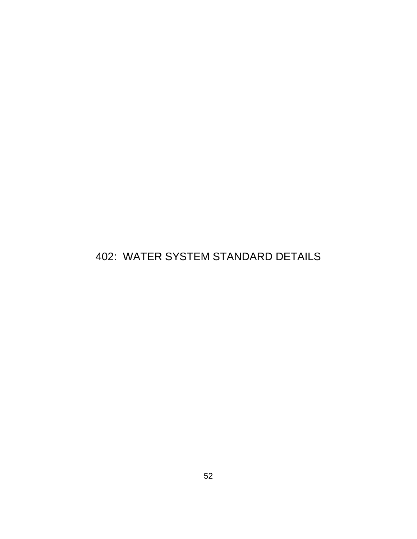# 402: WATER SYSTEM STANDARD DETAILS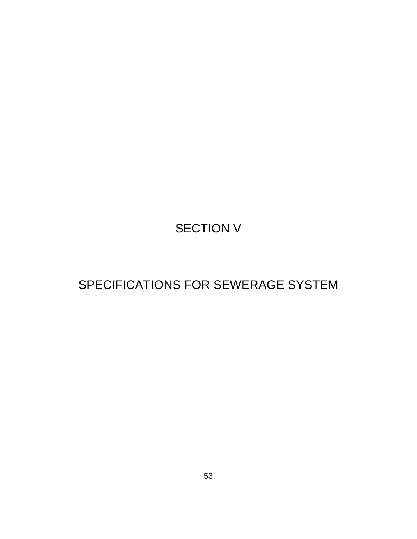# SECTION V

# SPECIFICATIONS FOR SEWERAGE SYSTEM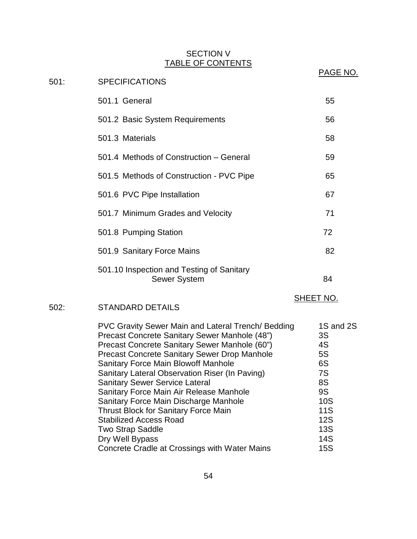# SECTION V TABLE OF CONTENTS

|      | <u>INDLL VI VUNTLINTU</u>                                                                                                                                                                                                                                                                                                                                                                                                                                                                                                                                              |                                                                                                      |
|------|------------------------------------------------------------------------------------------------------------------------------------------------------------------------------------------------------------------------------------------------------------------------------------------------------------------------------------------------------------------------------------------------------------------------------------------------------------------------------------------------------------------------------------------------------------------------|------------------------------------------------------------------------------------------------------|
| 501: | <b>SPECIFICATIONS</b>                                                                                                                                                                                                                                                                                                                                                                                                                                                                                                                                                  | <b>PAGE NO.</b>                                                                                      |
|      | 501.1 General                                                                                                                                                                                                                                                                                                                                                                                                                                                                                                                                                          | 55                                                                                                   |
|      | 501.2 Basic System Requirements                                                                                                                                                                                                                                                                                                                                                                                                                                                                                                                                        | 56                                                                                                   |
|      | 501.3 Materials                                                                                                                                                                                                                                                                                                                                                                                                                                                                                                                                                        | 58                                                                                                   |
|      | 501.4 Methods of Construction – General                                                                                                                                                                                                                                                                                                                                                                                                                                                                                                                                | 59                                                                                                   |
|      | 501.5 Methods of Construction - PVC Pipe                                                                                                                                                                                                                                                                                                                                                                                                                                                                                                                               | 65                                                                                                   |
|      | 501.6 PVC Pipe Installation                                                                                                                                                                                                                                                                                                                                                                                                                                                                                                                                            | 67                                                                                                   |
|      | 501.7 Minimum Grades and Velocity                                                                                                                                                                                                                                                                                                                                                                                                                                                                                                                                      | 71                                                                                                   |
|      | 501.8 Pumping Station                                                                                                                                                                                                                                                                                                                                                                                                                                                                                                                                                  | 72                                                                                                   |
|      | 501.9 Sanitary Force Mains                                                                                                                                                                                                                                                                                                                                                                                                                                                                                                                                             | 82                                                                                                   |
|      | 501.10 Inspection and Testing of Sanitary<br><b>Sewer System</b>                                                                                                                                                                                                                                                                                                                                                                                                                                                                                                       | 84                                                                                                   |
| 502: | <b>STANDARD DETAILS</b>                                                                                                                                                                                                                                                                                                                                                                                                                                                                                                                                                | <u>SHEET NO.</u>                                                                                     |
|      | PVC Gravity Sewer Main and Lateral Trench/ Bedding<br>Precast Concrete Sanitary Sewer Manhole (48")<br>Precast Concrete Sanitary Sewer Manhole (60")<br><b>Precast Concrete Sanitary Sewer Drop Manhole</b><br><b>Sanitary Force Main Blowoff Manhole</b><br>Sanitary Lateral Observation Riser (In Paving)<br><b>Sanitary Sewer Service Lateral</b><br><b>Sanitary Force Main Air Release Manhole</b><br>Sanitary Force Main Discharge Manhole<br>Thrust Block for Sanitary Force Main<br><b>Stabilized Access Road</b><br><b>Two Strap Saddle</b><br>Dry Well Bypass | 1S and 2S<br>3S<br>4S<br>5S<br>6S<br>7S<br>8S<br>9S<br>10S<br><b>11S</b><br><b>12S</b><br>13S<br>14S |

Concrete Cradle at Crossings with Water Mains 15S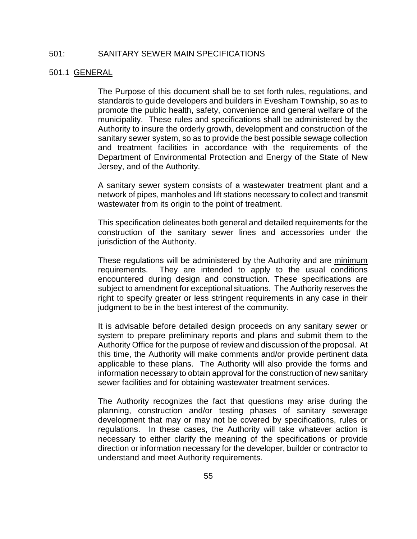## 501: SANITARY SEWER MAIN SPECIFICATIONS

#### 501.1 GENERAL

The Purpose of this document shall be to set forth rules, regulations, and standards to guide developers and builders in Evesham Township, so as to promote the public health, safety, convenience and general welfare of the municipality. These rules and specifications shall be administered by the Authority to insure the orderly growth, development and construction of the sanitary sewer system, so as to provide the best possible sewage collection and treatment facilities in accordance with the requirements of the Department of Environmental Protection and Energy of the State of New Jersey, and of the Authority.

A sanitary sewer system consists of a wastewater treatment plant and a network of pipes, manholes and lift stations necessary to collect and transmit wastewater from its origin to the point of treatment.

This specification delineates both general and detailed requirements for the construction of the sanitary sewer lines and accessories under the jurisdiction of the Authority.

These regulations will be administered by the Authority and are minimum requirements. They are intended to apply to the usual conditions encountered during design and construction. These specifications are subject to amendment for exceptional situations. The Authority reserves the right to specify greater or less stringent requirements in any case in their judgment to be in the best interest of the community.

It is advisable before detailed design proceeds on any sanitary sewer or system to prepare preliminary reports and plans and submit them to the Authority Office for the purpose of review and discussion of the proposal. At this time, the Authority will make comments and/or provide pertinent data applicable to these plans. The Authority will also provide the forms and information necessary to obtain approval for the construction of new sanitary sewer facilities and for obtaining wastewater treatment services.

The Authority recognizes the fact that questions may arise during the planning, construction and/or testing phases of sanitary sewerage development that may or may not be covered by specifications, rules or regulations. In these cases, the Authority will take whatever action is necessary to either clarify the meaning of the specifications or provide direction or information necessary for the developer, builder or contractor to understand and meet Authority requirements.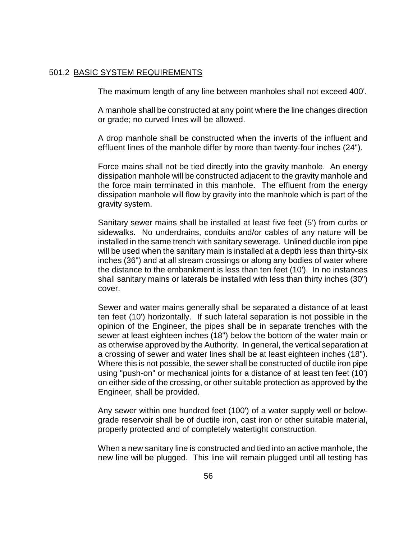#### 501.2 BASIC SYSTEM REQUIREMENTS

The maximum length of any line between manholes shall not exceed 400'.

A manhole shall be constructed at any point where the line changes direction or grade; no curved lines will be allowed.

A drop manhole shall be constructed when the inverts of the influent and effluent lines of the manhole differ by more than twenty-four inches (24").

Force mains shall not be tied directly into the gravity manhole. An energy dissipation manhole will be constructed adjacent to the gravity manhole and the force main terminated in this manhole. The effluent from the energy dissipation manhole will flow by gravity into the manhole which is part of the gravity system.

Sanitary sewer mains shall be installed at least five feet (5') from curbs or sidewalks. No underdrains, conduits and/or cables of any nature will be installed in the same trench with sanitary sewerage. Unlined ductile iron pipe will be used when the sanitary main is installed at a depth less than thirty-six inches (36") and at all stream crossings or along any bodies of water where the distance to the embankment is less than ten feet (10'). In no instances shall sanitary mains or laterals be installed with less than thirty inches (30") cover.

Sewer and water mains generally shall be separated a distance of at least ten feet (10') horizontally. If such lateral separation is not possible in the opinion of the Engineer, the pipes shall be in separate trenches with the sewer at least eighteen inches (18") below the bottom of the water main or as otherwise approved by the Authority. In general, the vertical separation at a crossing of sewer and water lines shall be at least eighteen inches (18"). Where this is not possible, the sewer shall be constructed of ductile iron pipe using "push-on" or mechanical joints for a distance of at least ten feet (10') on either side of the crossing, or other suitable protection as approved by the Engineer, shall be provided.

Any sewer within one hundred feet (100') of a water supply well or belowgrade reservoir shall be of ductile iron, cast iron or other suitable material, properly protected and of completely watertight construction.

When a new sanitary line is constructed and tied into an active manhole, the new line will be plugged. This line will remain plugged until all testing has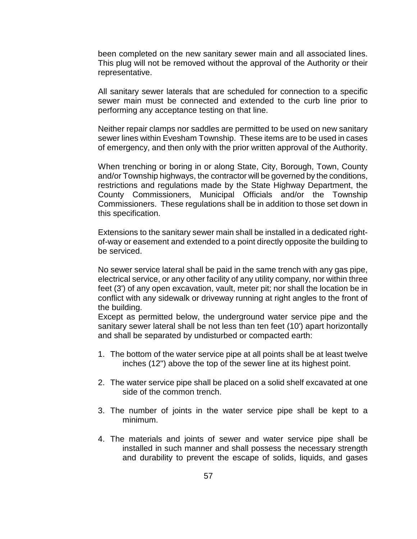been completed on the new sanitary sewer main and all associated lines. This plug will not be removed without the approval of the Authority or their representative.

All sanitary sewer laterals that are scheduled for connection to a specific sewer main must be connected and extended to the curb line prior to performing any acceptance testing on that line.

Neither repair clamps nor saddles are permitted to be used on new sanitary sewer lines within Evesham Township. These items are to be used in cases of emergency, and then only with the prior written approval of the Authority.

When trenching or boring in or along State, City, Borough, Town, County and/or Township highways, the contractor will be governed by the conditions, restrictions and regulations made by the State Highway Department, the County Commissioners, Municipal Officials and/or the Township Commissioners. These regulations shall be in addition to those set down in this specification.

Extensions to the sanitary sewer main shall be installed in a dedicated rightof-way or easement and extended to a point directly opposite the building to be serviced.

No sewer service lateral shall be paid in the same trench with any gas pipe, electrical service, or any other facility of any utility company, nor within three feet (3') of any open excavation, vault, meter pit; nor shall the location be in conflict with any sidewalk or driveway running at right angles to the front of the building.

Except as permitted below, the underground water service pipe and the sanitary sewer lateral shall be not less than ten feet (10') apart horizontally and shall be separated by undisturbed or compacted earth:

- 1. The bottom of the water service pipe at all points shall be at least twelve inches (12") above the top of the sewer line at its highest point.
- 2. The water service pipe shall be placed on a solid shelf excavated at one side of the common trench.
- 3. The number of joints in the water service pipe shall be kept to a minimum.
- 4. The materials and joints of sewer and water service pipe shall be installed in such manner and shall possess the necessary strength and durability to prevent the escape of solids, liquids, and gases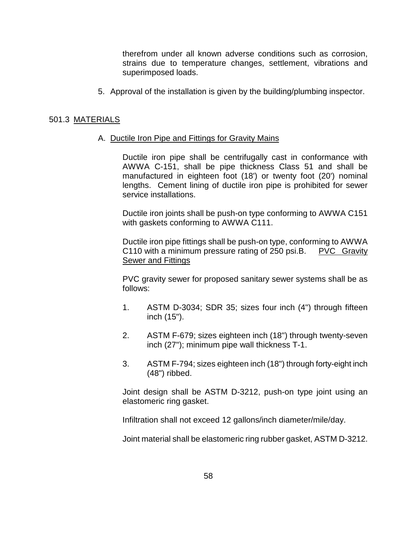therefrom under all known adverse conditions such as corrosion, strains due to temperature changes, settlement, vibrations and superimposed loads.

5. Approval of the installation is given by the building/plumbing inspector.

#### 501.3 MATERIALS

#### A. Ductile Iron Pipe and Fittings for Gravity Mains

Ductile iron pipe shall be centrifugally cast in conformance with AWWA C-151, shall be pipe thickness Class 51 and shall be manufactured in eighteen foot (18') or twenty foot (20') nominal lengths. Cement lining of ductile iron pipe is prohibited for sewer service installations.

Ductile iron joints shall be push-on type conforming to AWWA C151 with gaskets conforming to AWWA C111.

Ductile iron pipe fittings shall be push-on type, conforming to AWWA C110 with a minimum pressure rating of 250 psi.B. PVC Gravity Sewer and Fittings

PVC gravity sewer for proposed sanitary sewer systems shall be as follows:

- 1. ASTM D-3034; SDR 35; sizes four inch (4") through fifteen inch (15").
- 2. ASTM F-679; sizes eighteen inch (18") through twenty-seven inch (27"); minimum pipe wall thickness T-1.
- 3. ASTM F-794; sizes eighteen inch (18") through forty-eight inch (48") ribbed.

Joint design shall be ASTM D-3212, push-on type joint using an elastomeric ring gasket.

Infiltration shall not exceed 12 gallons/inch diameter/mile/day.

Joint material shall be elastomeric ring rubber gasket, ASTM D-3212.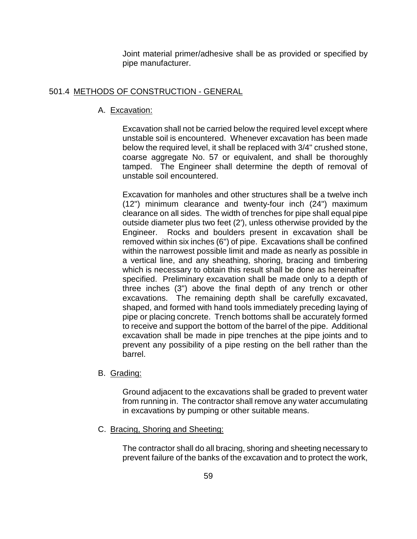Joint material primer/adhesive shall be as provided or specified by pipe manufacturer.

# 501.4 METHODS OF CONSTRUCTION - GENERAL

## A. Excavation:

Excavation shall not be carried below the required level except where unstable soil is encountered. Whenever excavation has been made below the required level, it shall be replaced with 3/4" crushed stone, coarse aggregate No. 57 or equivalent, and shall be thoroughly tamped. The Engineer shall determine the depth of removal of unstable soil encountered.

Excavation for manholes and other structures shall be a twelve inch (12") minimum clearance and twenty-four inch (24") maximum clearance on all sides. The width of trenches for pipe shall equal pipe outside diameter plus two feet (2'), unless otherwise provided by the Engineer. Rocks and boulders present in excavation shall be removed within six inches (6") of pipe. Excavations shall be confined within the narrowest possible limit and made as nearly as possible in a vertical line, and any sheathing, shoring, bracing and timbering which is necessary to obtain this result shall be done as hereinafter specified. Preliminary excavation shall be made only to a depth of three inches (3") above the final depth of any trench or other excavations. The remaining depth shall be carefully excavated, shaped, and formed with hand tools immediately preceding laying of pipe or placing concrete. Trench bottoms shall be accurately formed to receive and support the bottom of the barrel of the pipe. Additional excavation shall be made in pipe trenches at the pipe joints and to prevent any possibility of a pipe resting on the bell rather than the barrel.

B. Grading:

Ground adjacent to the excavations shall be graded to prevent water from running in. The contractor shall remove any water accumulating in excavations by pumping or other suitable means.

C. Bracing, Shoring and Sheeting:

The contractor shall do all bracing, shoring and sheeting necessary to prevent failure of the banks of the excavation and to protect the work,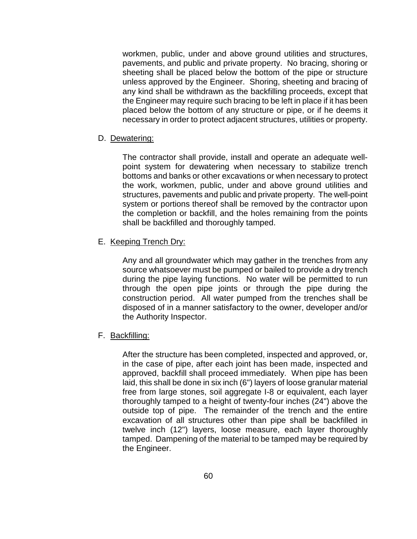workmen, public, under and above ground utilities and structures, pavements, and public and private property. No bracing, shoring or sheeting shall be placed below the bottom of the pipe or structure unless approved by the Engineer. Shoring, sheeting and bracing of any kind shall be withdrawn as the backfilling proceeds, except that the Engineer may require such bracing to be left in place if it has been placed below the bottom of any structure or pipe, or if he deems it necessary in order to protect adjacent structures, utilities or property.

#### D. Dewatering:

The contractor shall provide, install and operate an adequate wellpoint system for dewatering when necessary to stabilize trench bottoms and banks or other excavations or when necessary to protect the work, workmen, public, under and above ground utilities and structures, pavements and public and private property. The well-point system or portions thereof shall be removed by the contractor upon the completion or backfill, and the holes remaining from the points shall be backfilled and thoroughly tamped.

## E. Keeping Trench Dry:

Any and all groundwater which may gather in the trenches from any source whatsoever must be pumped or bailed to provide a dry trench during the pipe laying functions. No water will be permitted to run through the open pipe joints or through the pipe during the construction period. All water pumped from the trenches shall be disposed of in a manner satisfactory to the owner, developer and/or the Authority Inspector.

#### F. Backfilling:

After the structure has been completed, inspected and approved, or, in the case of pipe, after each joint has been made, inspected and approved, backfill shall proceed immediately. When pipe has been laid, this shall be done in six inch (6") layers of loose granular material free from large stones, soil aggregate I-8 or equivalent, each layer thoroughly tamped to a height of twenty-four inches (24") above the outside top of pipe. The remainder of the trench and the entire excavation of all structures other than pipe shall be backfilled in twelve inch (12") layers, loose measure, each layer thoroughly tamped. Dampening of the material to be tamped may be required by the Engineer.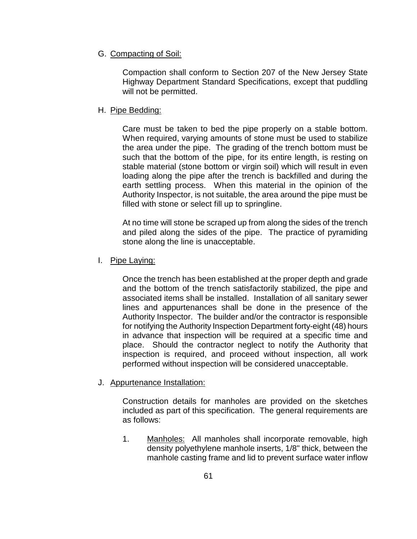## G. Compacting of Soil:

Compaction shall conform to Section 207 of the New Jersey State Highway Department Standard Specifications, except that puddling will not be permitted.

# H. Pipe Bedding:

Care must be taken to bed the pipe properly on a stable bottom. When required, varying amounts of stone must be used to stabilize the area under the pipe. The grading of the trench bottom must be such that the bottom of the pipe, for its entire length, is resting on stable material (stone bottom or virgin soil) which will result in even loading along the pipe after the trench is backfilled and during the earth settling process. When this material in the opinion of the Authority Inspector, is not suitable, the area around the pipe must be filled with stone or select fill up to springline.

At no time will stone be scraped up from along the sides of the trench and piled along the sides of the pipe. The practice of pyramiding stone along the line is unacceptable.

# I. Pipe Laying:

Once the trench has been established at the proper depth and grade and the bottom of the trench satisfactorily stabilized, the pipe and associated items shall be installed. Installation of all sanitary sewer lines and appurtenances shall be done in the presence of the Authority Inspector. The builder and/or the contractor is responsible for notifying the Authority Inspection Department forty-eight (48) hours in advance that inspection will be required at a specific time and place. Should the contractor neglect to notify the Authority that inspection is required, and proceed without inspection, all work performed without inspection will be considered unacceptable.

# J. Appurtenance Installation:

Construction details for manholes are provided on the sketches included as part of this specification. The general requirements are as follows:

1. Manholes: All manholes shall incorporate removable, high density polyethylene manhole inserts, 1/8" thick, between the manhole casting frame and lid to prevent surface water inflow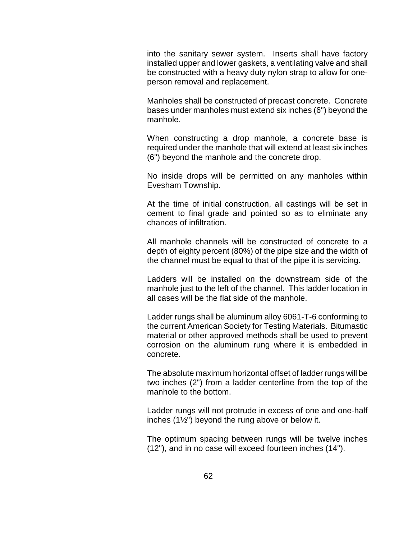into the sanitary sewer system. Inserts shall have factory installed upper and lower gaskets, a ventilating valve and shall be constructed with a heavy duty nylon strap to allow for oneperson removal and replacement.

Manholes shall be constructed of precast concrete. Concrete bases under manholes must extend six inches (6") beyond the manhole.

When constructing a drop manhole, a concrete base is required under the manhole that will extend at least six inches (6") beyond the manhole and the concrete drop.

No inside drops will be permitted on any manholes within Evesham Township.

At the time of initial construction, all castings will be set in cement to final grade and pointed so as to eliminate any chances of infiltration.

All manhole channels will be constructed of concrete to a depth of eighty percent (80%) of the pipe size and the width of the channel must be equal to that of the pipe it is servicing.

Ladders will be installed on the downstream side of the manhole just to the left of the channel. This ladder location in all cases will be the flat side of the manhole.

Ladder rungs shall be aluminum alloy 6061-T-6 conforming to the current American Society for Testing Materials. Bitumastic material or other approved methods shall be used to prevent corrosion on the aluminum rung where it is embedded in concrete.

The absolute maximum horizontal offset of ladder rungs will be two inches (2") from a ladder centerline from the top of the manhole to the bottom.

Ladder rungs will not protrude in excess of one and one-half inches (1½") beyond the rung above or below it.

The optimum spacing between rungs will be twelve inches (12"), and in no case will exceed fourteen inches (14").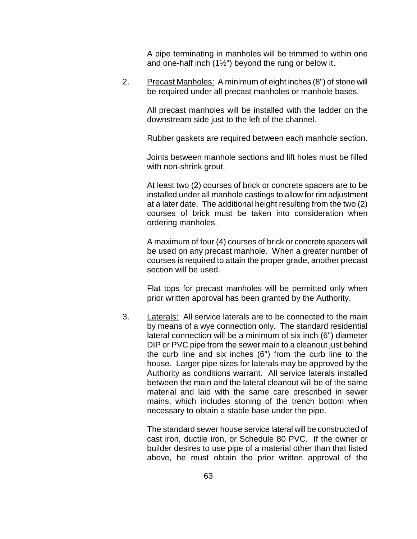A pipe terminating in manholes will be trimmed to within one and one-half inch  $(1\frac{1}{2})$  beyond the rung or below it.

2. Precast Manholes: A minimum of eight inches (8") of stone will be required under all precast manholes or manhole bases.

All precast manholes will be installed with the ladder on the downstream side just to the left of the channel.

Rubber gaskets are required between each manhole section.

Joints between manhole sections and lift holes must be filled with non-shrink grout.

At least two (2) courses of brick or concrete spacers are to be installed under all manhole castings to allow for rim adjustment at a later date. The additional height resulting from the two (2) courses of brick must be taken into consideration when ordering manholes.

A maximum of four (4) courses of brick or concrete spacers will be used on any precast manhole. When a greater number of courses is required to attain the proper grade, another precast section will be used.

Flat tops for precast manholes will be permitted only when prior written approval has been granted by the Authority.

3. Laterals: All service laterals are to be connected to the main by means of a wye connection only. The standard residential lateral connection will be a minimum of six inch (6") diameter DIP or PVC pipe from the sewer main to a cleanout just behind the curb line and six inches (6") from the curb line to the house. Larger pipe sizes for laterals may be approved by the Authority as conditions warrant. All service laterals installed between the main and the lateral cleanout will be of the same material and laid with the same care prescribed in sewer mains, which includes stoning of the trench bottom when necessary to obtain a stable base under the pipe.

> The standard sewer house service lateral will be constructed of cast iron, ductile iron, or Schedule 80 PVC. If the owner or builder desires to use pipe of a material other than that listed above, he must obtain the prior written approval of the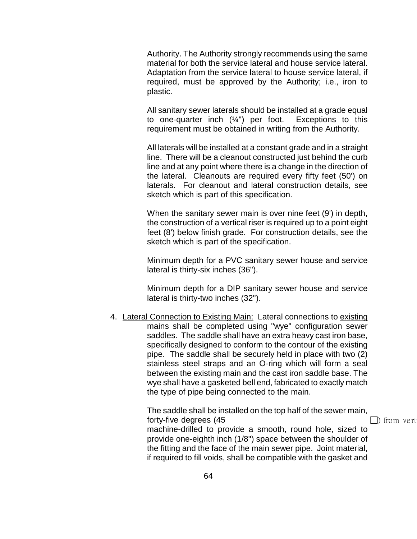Authority. The Authority strongly recommends using the same material for both the service lateral and house service lateral. Adaptation from the service lateral to house service lateral, if required, must be approved by the Authority; i.e., iron to plastic.

All sanitary sewer laterals should be installed at a grade equal to one-quarter inch  $(\frac{1}{4})$  per foot. Exceptions to this requirement must be obtained in writing from the Authority.

All laterals will be installed at a constant grade and in a straight line. There will be a cleanout constructed just behind the curb line and at any point where there is a change in the direction of the lateral. Cleanouts are required every fifty feet (50') on laterals. For cleanout and lateral construction details, see sketch which is part of this specification.

When the sanitary sewer main is over nine feet (9') in depth, the construction of a vertical riser is required up to a point eight feet (8') below finish grade. For construction details, see the sketch which is part of the specification.

Minimum depth for a PVC sanitary sewer house and service lateral is thirty-six inches (36").

Minimum depth for a DIP sanitary sewer house and service lateral is thirty-two inches (32").

4. Lateral Connection to Existing Main: Lateral connections to existing mains shall be completed using "wye" configuration sewer saddles. The saddle shall have an extra heavy cast iron base, specifically designed to conform to the contour of the existing pipe. The saddle shall be securely held in place with two (2) stainless steel straps and an O-ring which will form a seal between the existing main and the cast iron saddle base. The wye shall have a gasketed bell end, fabricated to exactly match the type of pipe being connected to the main.

> The saddle shall be installed on the top half of the sewer main, forty-five degrees (45 ) from vertical extension of the state of the state of the state of the state of the state of the state of the state of the state of the state of the state of the state of the state of the state of t machine-drilled to provide a smooth, round hole, sized to provide one-eighth inch (1/8") space between the shoulder of the fitting and the face of the main sewer pipe. Joint material, if required to fill voids, shall be compatible with the gasket and

> > 64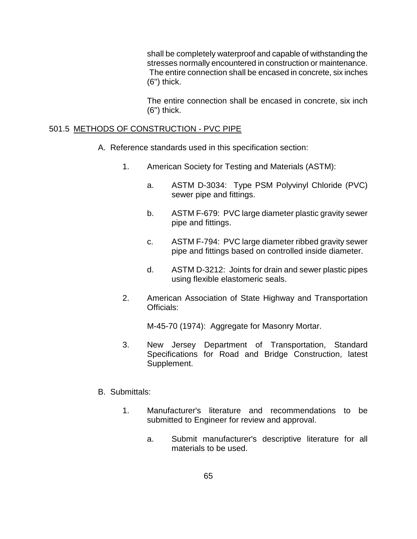shall be completely waterproof and capable of withstanding the stresses normally encountered in construction or maintenance. The entire connection shall be encased in concrete, six inches (6") thick.

The entire connection shall be encased in concrete, six inch (6") thick.

# 501.5 METHODS OF CONSTRUCTION - PVC PIPE

- A. Reference standards used in this specification section:
	- 1. American Society for Testing and Materials (ASTM):
		- a. ASTM D-3034: Type PSM Polyvinyl Chloride (PVC) sewer pipe and fittings.
		- b. ASTM F-679: PVC large diameter plastic gravity sewer pipe and fittings.
		- c. ASTM F-794: PVC large diameter ribbed gravity sewer pipe and fittings based on controlled inside diameter.
		- d. ASTM D-3212: Joints for drain and sewer plastic pipes using flexible elastomeric seals.
	- 2. American Association of State Highway and Transportation Officials:

M-45-70 (1974): Aggregate for Masonry Mortar.

- 3. New Jersey Department of Transportation, Standard Specifications for Road and Bridge Construction, latest Supplement.
- B. Submittals:
	- 1. Manufacturer's literature and recommendations to be submitted to Engineer for review and approval.
		- a. Submit manufacturer's descriptive literature for all materials to be used.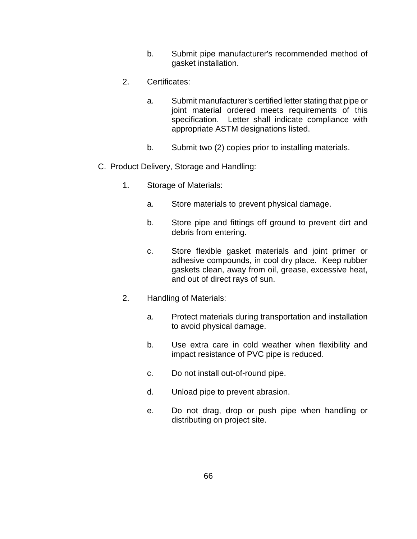- b. Submit pipe manufacturer's recommended method of gasket installation.
- 2. Certificates:
	- a. Submit manufacturer's certified letter stating that pipe or joint material ordered meets requirements of this specification. Letter shall indicate compliance with appropriate ASTM designations listed.
	- b. Submit two (2) copies prior to installing materials.
- C. Product Delivery, Storage and Handling:
	- 1. Storage of Materials:
		- a. Store materials to prevent physical damage.
		- b. Store pipe and fittings off ground to prevent dirt and debris from entering.
		- c. Store flexible gasket materials and joint primer or adhesive compounds, in cool dry place. Keep rubber gaskets clean, away from oil, grease, excessive heat, and out of direct rays of sun.
	- 2. Handling of Materials:
		- a. Protect materials during transportation and installation to avoid physical damage.
		- b. Use extra care in cold weather when flexibility and impact resistance of PVC pipe is reduced.
		- c. Do not install out-of-round pipe.
		- d. Unload pipe to prevent abrasion.
		- e. Do not drag, drop or push pipe when handling or distributing on project site.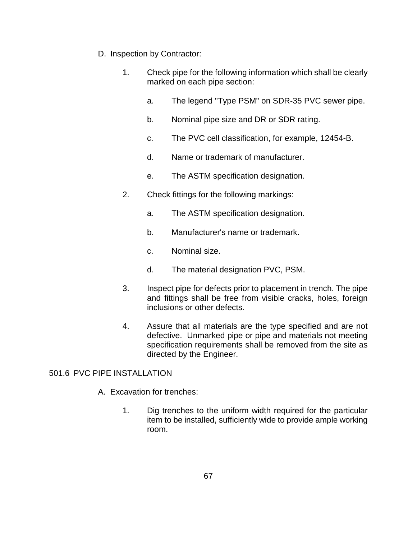- D. Inspection by Contractor:
	- 1. Check pipe for the following information which shall be clearly marked on each pipe section:
		- a. The legend "Type PSM" on SDR-35 PVC sewer pipe.
		- b. Nominal pipe size and DR or SDR rating.
		- c. The PVC cell classification, for example, 12454-B.
		- d. Name or trademark of manufacturer.
		- e. The ASTM specification designation.
	- 2. Check fittings for the following markings:
		- a. The ASTM specification designation.
		- b. Manufacturer's name or trademark.
		- c. Nominal size.
		- d. The material designation PVC, PSM.
	- 3. Inspect pipe for defects prior to placement in trench. The pipe and fittings shall be free from visible cracks, holes, foreign inclusions or other defects.
	- 4. Assure that all materials are the type specified and are not defective. Unmarked pipe or pipe and materials not meeting specification requirements shall be removed from the site as directed by the Engineer.

# 501.6 PVC PIPE INSTALLATION

- A. Excavation for trenches:
	- 1. Dig trenches to the uniform width required for the particular item to be installed, sufficiently wide to provide ample working room.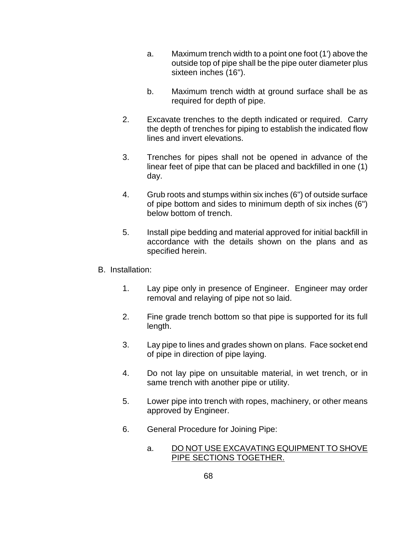- a. Maximum trench width to a point one foot (1') above the outside top of pipe shall be the pipe outer diameter plus sixteen inches (16").
- b. Maximum trench width at ground surface shall be as required for depth of pipe.
- 2. Excavate trenches to the depth indicated or required. Carry the depth of trenches for piping to establish the indicated flow lines and invert elevations.
- 3. Trenches for pipes shall not be opened in advance of the linear feet of pipe that can be placed and backfilled in one (1) day.
- 4. Grub roots and stumps within six inches (6") of outside surface of pipe bottom and sides to minimum depth of six inches (6") below bottom of trench.
- 5. Install pipe bedding and material approved for initial backfill in accordance with the details shown on the plans and as specified herein.
- B. Installation:
	- 1. Lay pipe only in presence of Engineer. Engineer may order removal and relaying of pipe not so laid.
	- 2. Fine grade trench bottom so that pipe is supported for its full length.
	- 3. Lay pipe to lines and grades shown on plans. Face socket end of pipe in direction of pipe laying.
	- 4. Do not lay pipe on unsuitable material, in wet trench, or in same trench with another pipe or utility.
	- 5. Lower pipe into trench with ropes, machinery, or other means approved by Engineer.
	- 6. General Procedure for Joining Pipe:
		- a. DO NOT USE EXCAVATING EQUIPMENT TO SHOVE PIPE SECTIONS TOGETHER.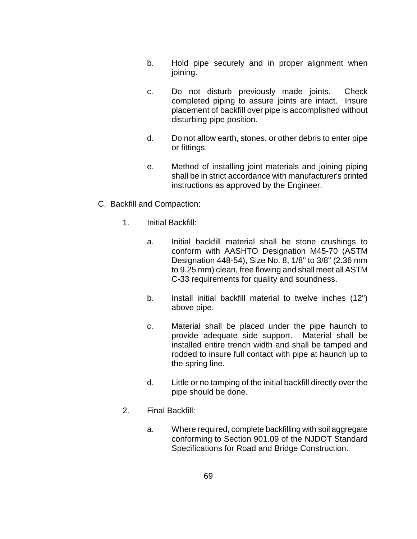- b. Hold pipe securely and in proper alignment when joining.
- c. Do not disturb previously made joints. Check completed piping to assure joints are intact. Insure placement of backfill over pipe is accomplished without disturbing pipe position.
- d. Do not allow earth, stones, or other debris to enter pipe or fittings.
- e. Method of installing joint materials and joining piping shall be in strict accordance with manufacturer's printed instructions as approved by the Engineer.
- C. Backfill and Compaction:
	- 1. Initial Backfill:
		- a. Initial backfill material shall be stone crushings to conform with AASHTO Designation M45-70 (ASTM Designation 448-54), Size No. 8, 1/8" to 3/8" (2.36 mm to 9.25 mm) clean, free flowing and shall meet all ASTM C-33 requirements for quality and soundness.
		- b. Install initial backfill material to twelve inches (12") above pipe.
		- c. Material shall be placed under the pipe haunch to provide adequate side support. Material shall be installed entire trench width and shall be tamped and rodded to insure full contact with pipe at haunch up to the spring line.
		- d. Little or no tamping of the initial backfill directly over the pipe should be done.
	- 2. Final Backfill:
		- a. Where required, complete backfilling with soil aggregate conforming to Section 901.09 of the NJDOT Standard Specifications for Road and Bridge Construction.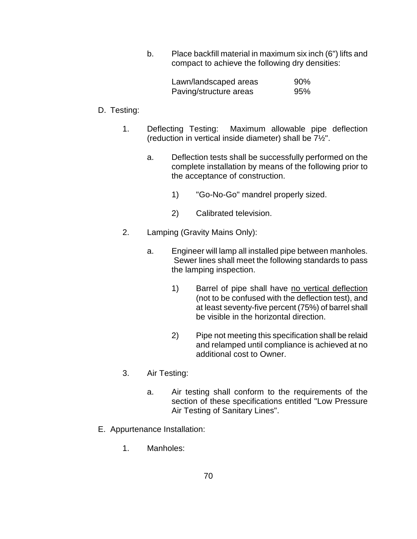b. Place backfill material in maximum six inch (6") lifts and compact to achieve the following dry densities:

| Lawn/landscaped areas  | 90% |
|------------------------|-----|
| Paving/structure areas | 95% |

# D. Testing:

- 1. Deflecting Testing: Maximum allowable pipe deflection (reduction in vertical inside diameter) shall be 7½".
	- a. Deflection tests shall be successfully performed on the complete installation by means of the following prior to the acceptance of construction.
		- 1) "Go-No-Go" mandrel properly sized.
		- 2) Calibrated television.
- 2. Lamping (Gravity Mains Only):
	- a. Engineer will lamp all installed pipe between manholes. Sewer lines shall meet the following standards to pass the lamping inspection.
		- 1) Barrel of pipe shall have no vertical deflection (not to be confused with the deflection test), and at least seventy-five percent (75%) of barrel shall be visible in the horizontal direction.
		- 2) Pipe not meeting this specification shall be relaid and relamped until compliance is achieved at no additional cost to Owner.
- 3. Air Testing:
	- a. Air testing shall conform to the requirements of the section of these specifications entitled "Low Pressure Air Testing of Sanitary Lines".
- E. Appurtenance Installation:
	- 1. Manholes: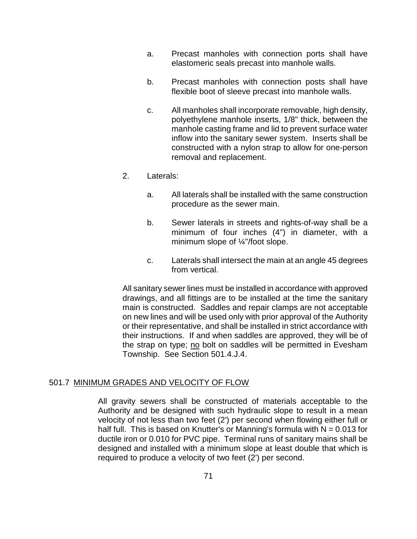- a. Precast manholes with connection ports shall have elastomeric seals precast into manhole walls.
- b. Precast manholes with connection posts shall have flexible boot of sleeve precast into manhole walls.
- c. All manholes shall incorporate removable, high density, polyethylene manhole inserts, 1/8" thick, between the manhole casting frame and lid to prevent surface water inflow into the sanitary sewer system. Inserts shall be constructed with a nylon strap to allow for one-person removal and replacement.
- 2. Laterals:
	- a. All laterals shall be installed with the same construction procedure as the sewer main.
	- b. Sewer laterals in streets and rights-of-way shall be a minimum of four inches (4") in diameter, with a minimum slope of ¼"/foot slope.
	- c. Laterals shall intersect the main at an angle 45 degrees from vertical.

All sanitary sewer lines must be installed in accordance with approved drawings, and all fittings are to be installed at the time the sanitary main is constructed. Saddles and repair clamps are not acceptable on new lines and will be used only with prior approval of the Authority or their representative, and shall be installed in strict accordance with their instructions. If and when saddles are approved, they will be of the strap on type; no bolt on saddles will be permitted in Evesham Township. See Section 501.4.J.4.

#### 501.7 MINIMUM GRADES AND VELOCITY OF FLOW

All gravity sewers shall be constructed of materials acceptable to the Authority and be designed with such hydraulic slope to result in a mean velocity of not less than two feet (2') per second when flowing either full or half full. This is based on Knutter's or Manning's formula with  $N = 0.013$  for ductile iron or 0.010 for PVC pipe. Terminal runs of sanitary mains shall be designed and installed with a minimum slope at least double that which is required to produce a velocity of two feet (2') per second.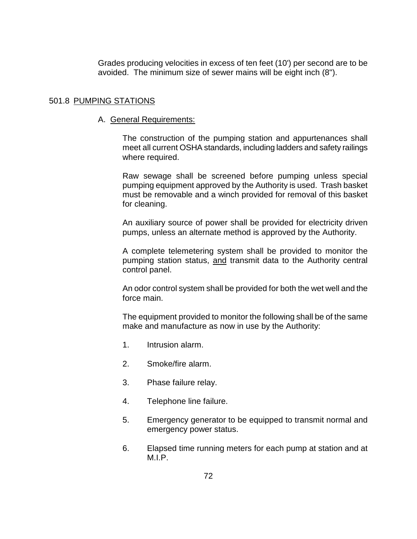Grades producing velocities in excess of ten feet (10') per second are to be avoided. The minimum size of sewer mains will be eight inch (8").

# 501.8 PUMPING STATIONS

# A. General Requirements:

The construction of the pumping station and appurtenances shall meet all current OSHA standards, including ladders and safety railings where required.

Raw sewage shall be screened before pumping unless special pumping equipment approved by the Authority is used. Trash basket must be removable and a winch provided for removal of this basket for cleaning.

An auxiliary source of power shall be provided for electricity driven pumps, unless an alternate method is approved by the Authority.

A complete telemetering system shall be provided to monitor the pumping station status, and transmit data to the Authority central control panel.

An odor control system shall be provided for both the wet well and the force main.

The equipment provided to monitor the following shall be of the same make and manufacture as now in use by the Authority:

- 1. Intrusion alarm.
- 2. Smoke/fire alarm.
- 3. Phase failure relay.
- 4. Telephone line failure.
- 5. Emergency generator to be equipped to transmit normal and emergency power status.
- 6. Elapsed time running meters for each pump at station and at M.I.P.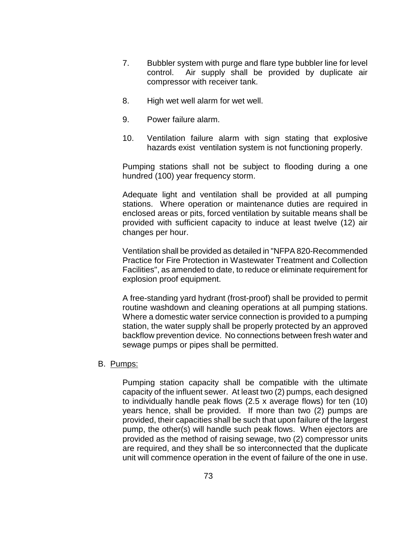- 7. Bubbler system with purge and flare type bubbler line for level control. Air supply shall be provided by duplicate air compressor with receiver tank.
- 8. High wet well alarm for wet well.
- 9. Power failure alarm.
- 10. Ventilation failure alarm with sign stating that explosive hazards exist ventilation system is not functioning properly.

Pumping stations shall not be subject to flooding during a one hundred (100) year frequency storm.

Adequate light and ventilation shall be provided at all pumping stations. Where operation or maintenance duties are required in enclosed areas or pits, forced ventilation by suitable means shall be provided with sufficient capacity to induce at least twelve (12) air changes per hour.

Ventilation shall be provided as detailed in "NFPA 820-Recommended Practice for Fire Protection in Wastewater Treatment and Collection Facilities", as amended to date, to reduce or eliminate requirement for explosion proof equipment.

A free-standing yard hydrant (frost-proof) shall be provided to permit routine washdown and cleaning operations at all pumping stations. Where a domestic water service connection is provided to a pumping station, the water supply shall be properly protected by an approved backflow prevention device. No connections between fresh water and sewage pumps or pipes shall be permitted.

#### B. Pumps:

Pumping station capacity shall be compatible with the ultimate capacity of the influent sewer. At least two (2) pumps, each designed to individually handle peak flows (2.5 x average flows) for ten (10) years hence, shall be provided. If more than two (2) pumps are provided, their capacities shall be such that upon failure of the largest pump, the other(s) will handle such peak flows. When ejectors are provided as the method of raising sewage, two (2) compressor units are required, and they shall be so interconnected that the duplicate unit will commence operation in the event of failure of the one in use.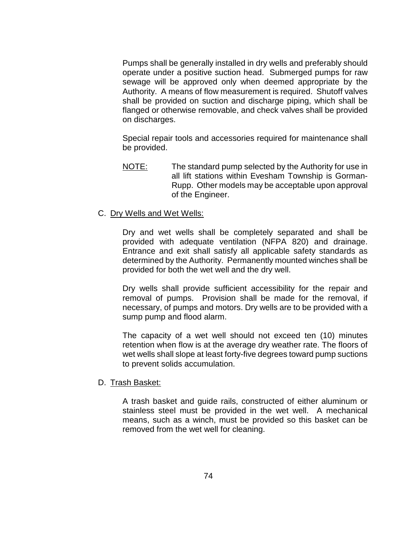Pumps shall be generally installed in dry wells and preferably should operate under a positive suction head. Submerged pumps for raw sewage will be approved only when deemed appropriate by the Authority. A means of flow measurement is required. Shutoff valves shall be provided on suction and discharge piping, which shall be flanged or otherwise removable, and check valves shall be provided on discharges.

Special repair tools and accessories required for maintenance shall be provided.

- NOTE: The standard pump selected by the Authority for use in all lift stations within Evesham Township is Gorman-Rupp. Other models may be acceptable upon approval of the Engineer.
- C. Dry Wells and Wet Wells:

Dry and wet wells shall be completely separated and shall be provided with adequate ventilation (NFPA 820) and drainage. Entrance and exit shall satisfy all applicable safety standards as determined by the Authority. Permanently mounted winches shall be provided for both the wet well and the dry well.

Dry wells shall provide sufficient accessibility for the repair and removal of pumps. Provision shall be made for the removal, if necessary, of pumps and motors. Dry wells are to be provided with a sump pump and flood alarm.

The capacity of a wet well should not exceed ten (10) minutes retention when flow is at the average dry weather rate. The floors of wet wells shall slope at least forty-five degrees toward pump suctions to prevent solids accumulation.

#### D. Trash Basket:

A trash basket and guide rails, constructed of either aluminum or stainless steel must be provided in the wet well. A mechanical means, such as a winch, must be provided so this basket can be removed from the wet well for cleaning.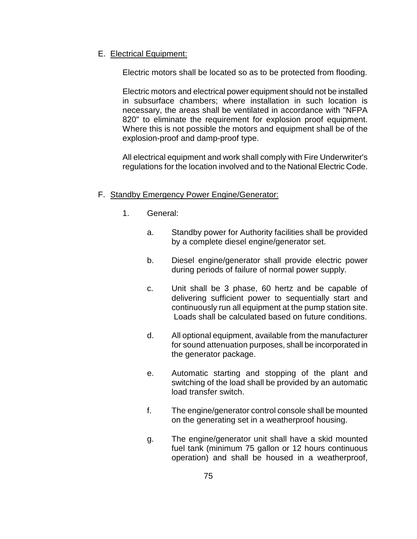# E. Electrical Equipment:

Electric motors shall be located so as to be protected from flooding.

Electric motors and electrical power equipment should not be installed in subsurface chambers; where installation in such location is necessary, the areas shall be ventilated in accordance with "NFPA 820" to eliminate the requirement for explosion proof equipment. Where this is not possible the motors and equipment shall be of the explosion-proof and damp-proof type.

All electrical equipment and work shall comply with Fire Underwriter's regulations for the location involved and to the National Electric Code.

# F. Standby Emergency Power Engine/Generator:

- 1. General:
	- a. Standby power for Authority facilities shall be provided by a complete diesel engine/generator set.
	- b. Diesel engine/generator shall provide electric power during periods of failure of normal power supply.
	- c. Unit shall be 3 phase, 60 hertz and be capable of delivering sufficient power to sequentially start and continuously run all equipment at the pump station site. Loads shall be calculated based on future conditions.
	- d. All optional equipment, available from the manufacturer for sound attenuation purposes, shall be incorporated in the generator package.
	- e. Automatic starting and stopping of the plant and switching of the load shall be provided by an automatic load transfer switch.
	- f. The engine/generator control console shall be mounted on the generating set in a weatherproof housing.
	- g. The engine/generator unit shall have a skid mounted fuel tank (minimum 75 gallon or 12 hours continuous operation) and shall be housed in a weatherproof,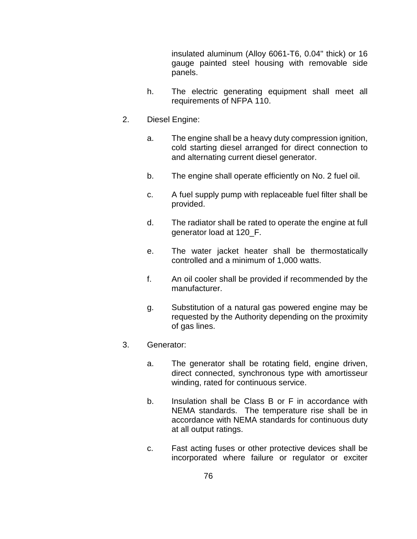insulated aluminum (Alloy 6061-T6, 0.04" thick) or 16 gauge painted steel housing with removable side panels.

- h. The electric generating equipment shall meet all requirements of NFPA 110.
- 2. Diesel Engine:
	- a. The engine shall be a heavy duty compression ignition, cold starting diesel arranged for direct connection to and alternating current diesel generator.
	- b. The engine shall operate efficiently on No. 2 fuel oil.
	- c. A fuel supply pump with replaceable fuel filter shall be provided.
	- d. The radiator shall be rated to operate the engine at full generator load at 120\_F.
	- e. The water jacket heater shall be thermostatically controlled and a minimum of 1,000 watts.
	- f. An oil cooler shall be provided if recommended by the manufacturer.
	- g. Substitution of a natural gas powered engine may be requested by the Authority depending on the proximity of gas lines.
- 3. Generator:
	- a. The generator shall be rotating field, engine driven, direct connected, synchronous type with amortisseur winding, rated for continuous service.
	- b. Insulation shall be Class B or F in accordance with NEMA standards. The temperature rise shall be in accordance with NEMA standards for continuous duty at all output ratings.
	- c. Fast acting fuses or other protective devices shall be incorporated where failure or regulator or exciter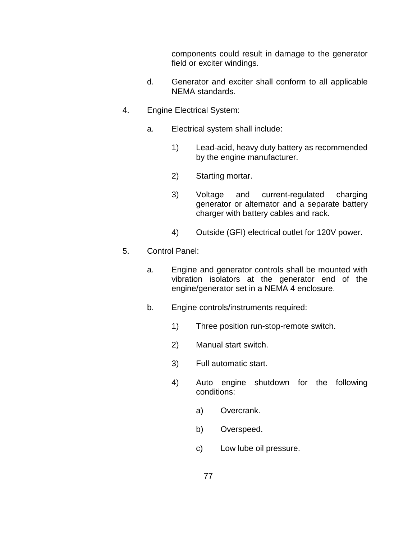components could result in damage to the generator field or exciter windings.

- d. Generator and exciter shall conform to all applicable NEMA standards.
- 4. Engine Electrical System:
	- a. Electrical system shall include:
		- 1) Lead-acid, heavy duty battery as recommended by the engine manufacturer.
		- 2) Starting mortar.
		- 3) Voltage and current-regulated charging generator or alternator and a separate battery charger with battery cables and rack.
		- 4) Outside (GFI) electrical outlet for 120V power.
- 5. Control Panel:
	- a. Engine and generator controls shall be mounted with vibration isolators at the generator end of the engine/generator set in a NEMA 4 enclosure.
	- b. Engine controls/instruments required:
		- 1) Three position run-stop-remote switch.
		- 2) Manual start switch.
		- 3) Full automatic start.
		- 4) Auto engine shutdown for the following conditions:
			- a) Overcrank.
			- b) Overspeed.
			- c) Low lube oil pressure.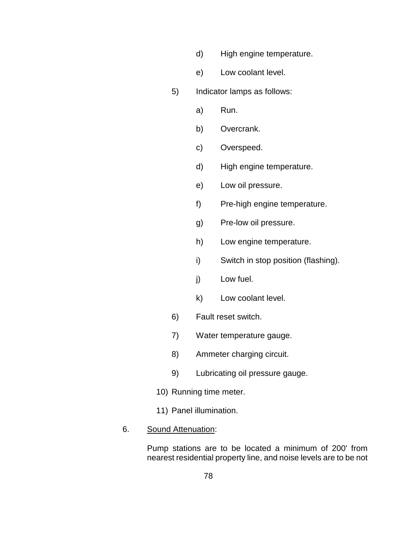- d) High engine temperature.
- e) Low coolant level.
- 5) Indicator lamps as follows:
	- a) Run.
	- b) Overcrank.
	- c) Overspeed.
	- d) High engine temperature.
	- e) Low oil pressure.
	- f) Pre-high engine temperature.
	- g) Pre-low oil pressure.
	- h) Low engine temperature.
	- i) Switch in stop position (flashing).
	- j) Low fuel.
	- k) Low coolant level.
- 6) Fault reset switch.
- 7) Water temperature gauge.
- 8) Ammeter charging circuit.
- 9) Lubricating oil pressure gauge.
- 10) Running time meter.
- 11) Panel illumination.
- 6. Sound Attenuation:

Pump stations are to be located a minimum of 200' from nearest residential property line, and noise levels are to be not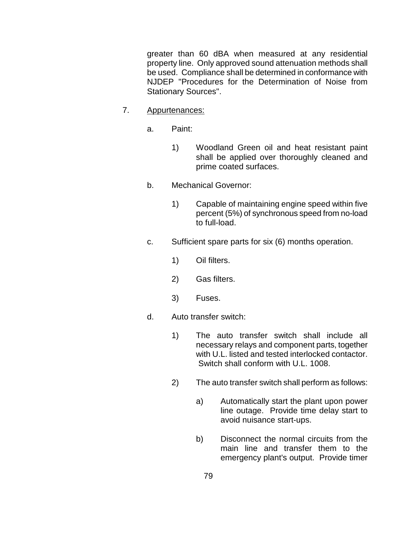greater than 60 dBA when measured at any residential property line. Only approved sound attenuation methods shall be used. Compliance shall be determined in conformance with NJDEP "Procedures for the Determination of Noise from Stationary Sources".

- 7. Appurtenances:
	- a. Paint:
		- 1) Woodland Green oil and heat resistant paint shall be applied over thoroughly cleaned and prime coated surfaces.
	- b. Mechanical Governor:
		- 1) Capable of maintaining engine speed within five percent (5%) of synchronous speed from no-load to full-load.
	- c. Sufficient spare parts for six (6) months operation.
		- 1) Oil filters.
		- 2) Gas filters.
		- 3) Fuses.
	- d. Auto transfer switch:
		- 1) The auto transfer switch shall include all necessary relays and component parts, together with U.L. listed and tested interlocked contactor. Switch shall conform with U.L. 1008.
		- 2) The auto transfer switch shall perform as follows:
			- a) Automatically start the plant upon power line outage. Provide time delay start to avoid nuisance start-ups.
			- b) Disconnect the normal circuits from the main line and transfer them to the emergency plant's output. Provide timer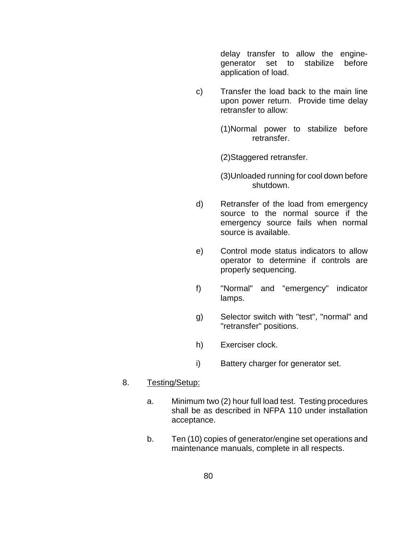delay transfer to allow the enginegenerator set to stabilize before application of load.

- c) Transfer the load back to the main line upon power return. Provide time delay retransfer to allow:
	- (1)Normal power to stabilize before retransfer.

(2)Staggered retransfer.

- (3)Unloaded running for cool down before shutdown.
- d) Retransfer of the load from emergency source to the normal source if the emergency source fails when normal source is available.
- e) Control mode status indicators to allow operator to determine if controls are properly sequencing.
- f) "Normal" and "emergency" indicator lamps.
- g) Selector switch with "test", "normal" and "retransfer" positions.
- h) Exerciser clock.
- i) Battery charger for generator set.

# 8. Testing/Setup:

- a. Minimum two (2) hour full load test. Testing procedures shall be as described in NFPA 110 under installation acceptance.
- b. Ten (10) copies of generator/engine set operations and maintenance manuals, complete in all respects.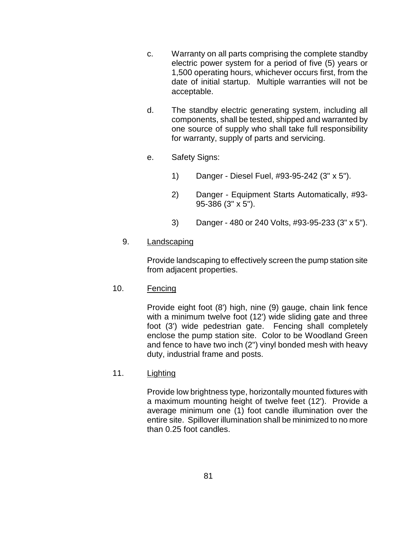- c. Warranty on all parts comprising the complete standby electric power system for a period of five (5) years or 1,500 operating hours, whichever occurs first, from the date of initial startup. Multiple warranties will not be acceptable.
- d. The standby electric generating system, including all components, shall be tested, shipped and warranted by one source of supply who shall take full responsibility for warranty, supply of parts and servicing.
- e. Safety Signs:
	- 1) Danger Diesel Fuel, #93-95-242 (3" x 5").
	- 2) Danger Equipment Starts Automatically, #93- 95-386 (3" x 5").
	- 3) Danger 480 or 240 Volts, #93-95-233 (3" x 5").

# 9. Landscaping

Provide landscaping to effectively screen the pump station site from adjacent properties.

# 10. Fencing

Provide eight foot (8') high, nine (9) gauge, chain link fence with a minimum twelve foot (12') wide sliding gate and three foot (3') wide pedestrian gate. Fencing shall completely enclose the pump station site. Color to be Woodland Green and fence to have two inch (2") vinyl bonded mesh with heavy duty, industrial frame and posts.

# 11. Lighting

Provide low brightness type, horizontally mounted fixtures with a maximum mounting height of twelve feet (12'). Provide a average minimum one (1) foot candle illumination over the entire site. Spillover illumination shall be minimized to no more than 0.25 foot candles.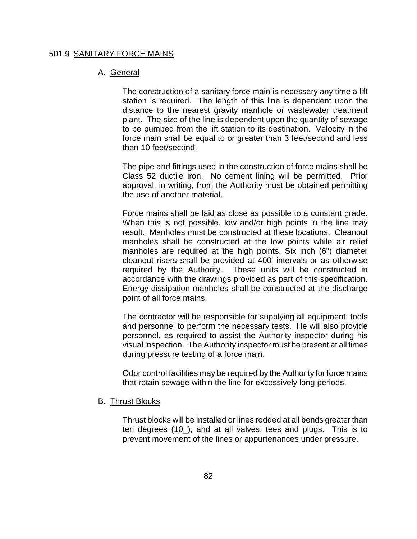#### 501.9 SANITARY FORCE MAINS

### A. General

The construction of a sanitary force main is necessary any time a lift station is required. The length of this line is dependent upon the distance to the nearest gravity manhole or wastewater treatment plant. The size of the line is dependent upon the quantity of sewage to be pumped from the lift station to its destination. Velocity in the force main shall be equal to or greater than 3 feet/second and less than 10 feet/second.

The pipe and fittings used in the construction of force mains shall be Class 52 ductile iron. No cement lining will be permitted. Prior approval, in writing, from the Authority must be obtained permitting the use of another material.

Force mains shall be laid as close as possible to a constant grade. When this is not possible, low and/or high points in the line may result. Manholes must be constructed at these locations. Cleanout manholes shall be constructed at the low points while air relief manholes are required at the high points. Six inch (6") diameter cleanout risers shall be provided at 400' intervals or as otherwise required by the Authority. These units will be constructed in accordance with the drawings provided as part of this specification. Energy dissipation manholes shall be constructed at the discharge point of all force mains.

The contractor will be responsible for supplying all equipment, tools and personnel to perform the necessary tests. He will also provide personnel, as required to assist the Authority inspector during his visual inspection. The Authority inspector must be present at all times during pressure testing of a force main.

Odor control facilities may be required by the Authority for force mains that retain sewage within the line for excessively long periods.

## B. Thrust Blocks

Thrust blocks will be installed or lines rodded at all bends greater than ten degrees (10\_), and at all valves, tees and plugs. This is to prevent movement of the lines or appurtenances under pressure.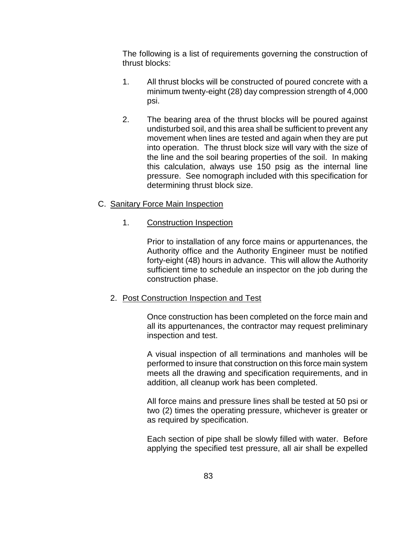The following is a list of requirements governing the construction of thrust blocks:

- 1. All thrust blocks will be constructed of poured concrete with a minimum twenty-eight (28) day compression strength of 4,000 psi.
- 2. The bearing area of the thrust blocks will be poured against undisturbed soil, and this area shall be sufficient to prevent any movement when lines are tested and again when they are put into operation. The thrust block size will vary with the size of the line and the soil bearing properties of the soil. In making this calculation, always use 150 psig as the internal line pressure. See nomograph included with this specification for determining thrust block size.

# C. Sanitary Force Main Inspection

# 1. Construction Inspection

Prior to installation of any force mains or appurtenances, the Authority office and the Authority Engineer must be notified forty-eight (48) hours in advance. This will allow the Authority sufficient time to schedule an inspector on the job during the construction phase.

# 2. Post Construction Inspection and Test

Once construction has been completed on the force main and all its appurtenances, the contractor may request preliminary inspection and test.

A visual inspection of all terminations and manholes will be performed to insure that construction on this force main system meets all the drawing and specification requirements, and in addition, all cleanup work has been completed.

All force mains and pressure lines shall be tested at 50 psi or two (2) times the operating pressure, whichever is greater or as required by specification.

Each section of pipe shall be slowly filled with water. Before applying the specified test pressure, all air shall be expelled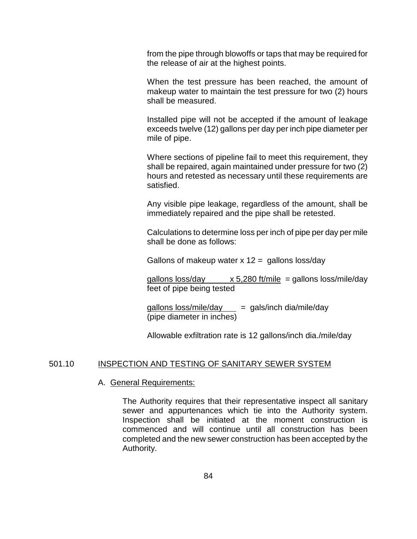from the pipe through blowoffs or taps that may be required for the release of air at the highest points.

When the test pressure has been reached, the amount of makeup water to maintain the test pressure for two (2) hours shall be measured.

Installed pipe will not be accepted if the amount of leakage exceeds twelve (12) gallons per day per inch pipe diameter per mile of pipe.

Where sections of pipeline fail to meet this requirement, they shall be repaired, again maintained under pressure for two (2) hours and retested as necessary until these requirements are satisfied.

Any visible pipe leakage, regardless of the amount, shall be immediately repaired and the pipe shall be retested.

Calculations to determine loss per inch of pipe per day per mile shall be done as follows:

Gallons of makeup water  $x$  12 = gallons loss/day

gallons loss/day  $x 5,280$  ft/mile = gallons loss/mile/day feet of pipe being tested

 $gallons loss/mile/day = gals/inch dia/mile/day$ (pipe diameter in inches)

Allowable exfiltration rate is 12 gallons/inch dia./mile/day

### 501.10 INSPECTION AND TESTING OF SANITARY SEWER SYSTEM

#### A. General Requirements:

The Authority requires that their representative inspect all sanitary sewer and appurtenances which tie into the Authority system. Inspection shall be initiated at the moment construction is commenced and will continue until all construction has been completed and the new sewer construction has been accepted by the Authority.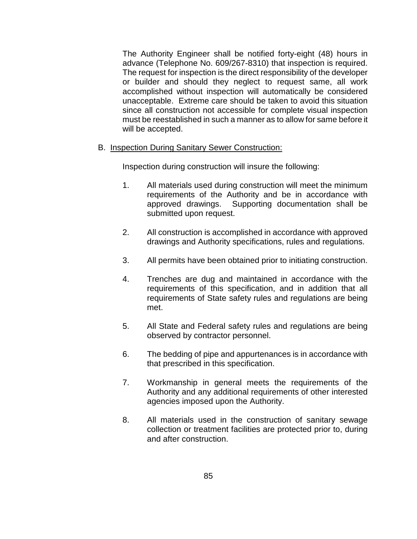The Authority Engineer shall be notified forty-eight (48) hours in advance (Telephone No. 609/267-8310) that inspection is required. The request for inspection is the direct responsibility of the developer or builder and should they neglect to request same, all work accomplished without inspection will automatically be considered unacceptable. Extreme care should be taken to avoid this situation since all construction not accessible for complete visual inspection must be reestablished in such a manner as to allow for same before it will be accepted.

B. Inspection During Sanitary Sewer Construction:

Inspection during construction will insure the following:

- 1. All materials used during construction will meet the minimum requirements of the Authority and be in accordance with approved drawings. Supporting documentation shall be submitted upon request.
- 2. All construction is accomplished in accordance with approved drawings and Authority specifications, rules and regulations.
- 3. All permits have been obtained prior to initiating construction.
- 4. Trenches are dug and maintained in accordance with the requirements of this specification, and in addition that all requirements of State safety rules and regulations are being met.
- 5. All State and Federal safety rules and regulations are being observed by contractor personnel.
- 6. The bedding of pipe and appurtenances is in accordance with that prescribed in this specification.
- 7. Workmanship in general meets the requirements of the Authority and any additional requirements of other interested agencies imposed upon the Authority.
- 8. All materials used in the construction of sanitary sewage collection or treatment facilities are protected prior to, during and after construction.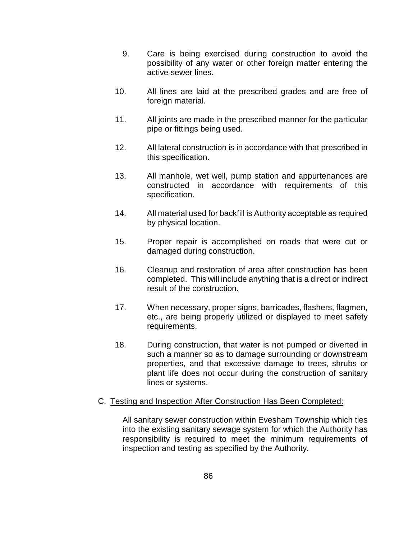- 9. Care is being exercised during construction to avoid the possibility of any water or other foreign matter entering the active sewer lines.
- 10. All lines are laid at the prescribed grades and are free of foreign material.
- 11. All joints are made in the prescribed manner for the particular pipe or fittings being used.
- 12. All lateral construction is in accordance with that prescribed in this specification.
- 13. All manhole, wet well, pump station and appurtenances are constructed in accordance with requirements of this specification.
- 14. All material used for backfill is Authority acceptable as required by physical location.
- 15. Proper repair is accomplished on roads that were cut or damaged during construction.
- 16. Cleanup and restoration of area after construction has been completed. This will include anything that is a direct or indirect result of the construction.
- 17. When necessary, proper signs, barricades, flashers, flagmen, etc., are being properly utilized or displayed to meet safety requirements.
- 18. During construction, that water is not pumped or diverted in such a manner so as to damage surrounding or downstream properties, and that excessive damage to trees, shrubs or plant life does not occur during the construction of sanitary lines or systems.

# C. Testing and Inspection After Construction Has Been Completed:

All sanitary sewer construction within Evesham Township which ties into the existing sanitary sewage system for which the Authority has responsibility is required to meet the minimum requirements of inspection and testing as specified by the Authority.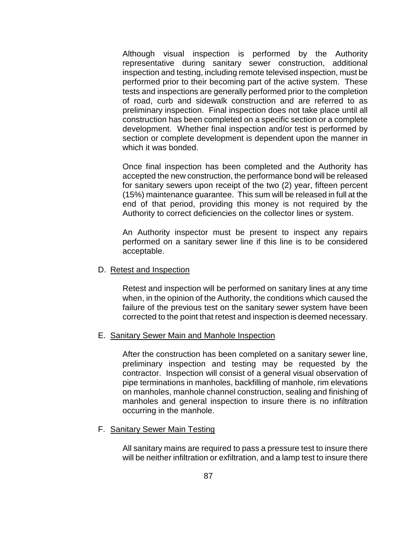Although visual inspection is performed by the Authority representative during sanitary sewer construction, additional inspection and testing, including remote televised inspection, must be performed prior to their becoming part of the active system. These tests and inspections are generally performed prior to the completion of road, curb and sidewalk construction and are referred to as preliminary inspection. Final inspection does not take place until all construction has been completed on a specific section or a complete development. Whether final inspection and/or test is performed by section or complete development is dependent upon the manner in which it was bonded.

Once final inspection has been completed and the Authority has accepted the new construction, the performance bond will be released for sanitary sewers upon receipt of the two (2) year, fifteen percent (15%) maintenance guarantee. This sum will be released in full at the end of that period, providing this money is not required by the Authority to correct deficiencies on the collector lines or system.

An Authority inspector must be present to inspect any repairs performed on a sanitary sewer line if this line is to be considered acceptable.

## D. Retest and Inspection

Retest and inspection will be performed on sanitary lines at any time when, in the opinion of the Authority, the conditions which caused the failure of the previous test on the sanitary sewer system have been corrected to the point that retest and inspection is deemed necessary.

#### E. Sanitary Sewer Main and Manhole Inspection

After the construction has been completed on a sanitary sewer line, preliminary inspection and testing may be requested by the contractor. Inspection will consist of a general visual observation of pipe terminations in manholes, backfilling of manhole, rim elevations on manholes, manhole channel construction, sealing and finishing of manholes and general inspection to insure there is no infiltration occurring in the manhole.

#### F. Sanitary Sewer Main Testing

All sanitary mains are required to pass a pressure test to insure there will be neither infiltration or exfiltration, and a lamp test to insure there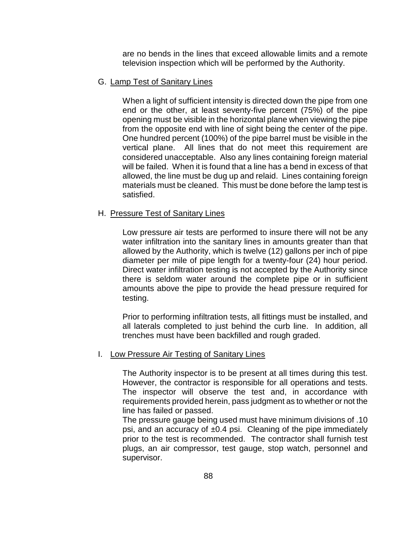are no bends in the lines that exceed allowable limits and a remote television inspection which will be performed by the Authority.

# G. Lamp Test of Sanitary Lines

When a light of sufficient intensity is directed down the pipe from one end or the other, at least seventy-five percent (75%) of the pipe opening must be visible in the horizontal plane when viewing the pipe from the opposite end with line of sight being the center of the pipe. One hundred percent (100%) of the pipe barrel must be visible in the vertical plane. All lines that do not meet this requirement are considered unacceptable. Also any lines containing foreign material will be failed. When it is found that a line has a bend in excess of that allowed, the line must be dug up and relaid. Lines containing foreign materials must be cleaned. This must be done before the lamp test is satisfied.

#### H. Pressure Test of Sanitary Lines

Low pressure air tests are performed to insure there will not be any water infiltration into the sanitary lines in amounts greater than that allowed by the Authority, which is twelve (12) gallons per inch of pipe diameter per mile of pipe length for a twenty-four (24) hour period. Direct water infiltration testing is not accepted by the Authority since there is seldom water around the complete pipe or in sufficient amounts above the pipe to provide the head pressure required for testing.

Prior to performing infiltration tests, all fittings must be installed, and all laterals completed to just behind the curb line. In addition, all trenches must have been backfilled and rough graded.

#### I. Low Pressure Air Testing of Sanitary Lines

The Authority inspector is to be present at all times during this test. However, the contractor is responsible for all operations and tests. The inspector will observe the test and, in accordance with requirements provided herein, pass judgment as to whether or not the line has failed or passed.

The pressure gauge being used must have minimum divisions of .10 psi, and an accuracy of  $\pm 0.4$  psi. Cleaning of the pipe immediately prior to the test is recommended. The contractor shall furnish test plugs, an air compressor, test gauge, stop watch, personnel and supervisor.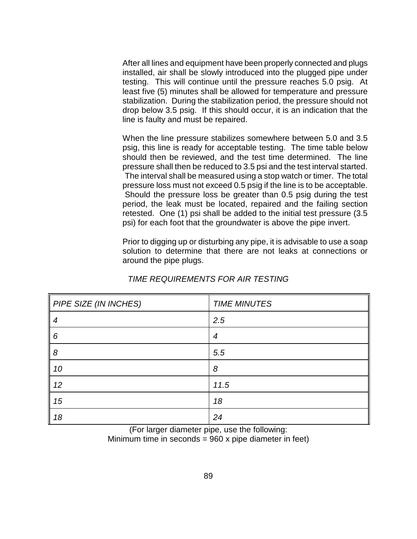After all lines and equipment have been properly connected and plugs installed, air shall be slowly introduced into the plugged pipe under testing. This will continue until the pressure reaches 5.0 psig. At least five (5) minutes shall be allowed for temperature and pressure stabilization. During the stabilization period, the pressure should not drop below 3.5 psig. If this should occur, it is an indication that the line is faulty and must be repaired.

When the line pressure stabilizes somewhere between 5.0 and 3.5 psig, this line is ready for acceptable testing. The time table below should then be reviewed, and the test time determined. The line pressure shall then be reduced to 3.5 psi and the test interval started. The interval shall be measured using a stop watch or timer. The total pressure loss must not exceed 0.5 psig if the line is to be acceptable. Should the pressure loss be greater than 0.5 psig during the test period, the leak must be located, repaired and the failing section retested. One (1) psi shall be added to the initial test pressure (3.5 psi) for each foot that the groundwater is above the pipe invert.

Prior to digging up or disturbing any pipe, it is advisable to use a soap solution to determine that there are not leaks at connections or around the pipe plugs.

| PIPE SIZE (IN INCHES) | <b>TIME MINUTES</b> |
|-----------------------|---------------------|
| 4                     | 2.5                 |
| 6                     | 4                   |
| 8                     | 5.5                 |
| 10                    | 8                   |
| 12                    | 11.5                |
| 15                    | 18                  |
| 18                    | 24                  |

# *TIME REQUIREMENTS FOR AIR TESTING*

(For larger diameter pipe, use the following: Minimum time in seconds = 960 x pipe diameter in feet)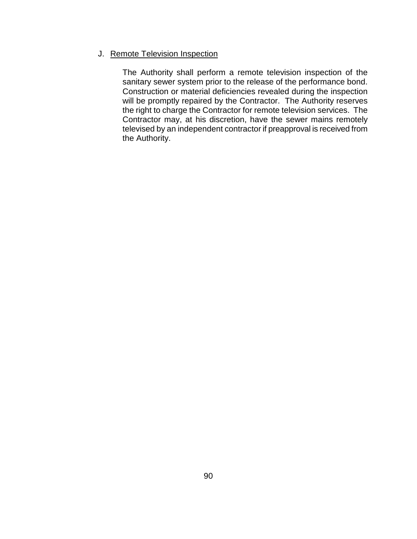# J. Remote Television Inspection

The Authority shall perform a remote television inspection of the sanitary sewer system prior to the release of the performance bond. Construction or material deficiencies revealed during the inspection will be promptly repaired by the Contractor. The Authority reserves the right to charge the Contractor for remote television services. The Contractor may, at his discretion, have the sewer mains remotely televised by an independent contractor if preapproval is received from the Authority.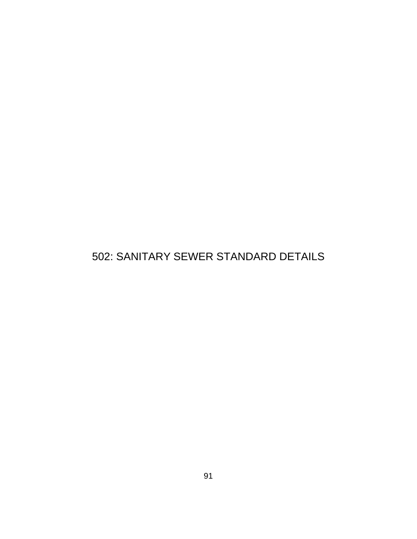# 502: SANITARY SEWER STANDARD DETAILS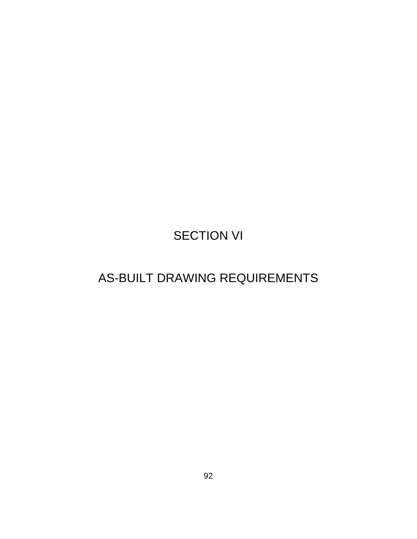# SECTION VI

# AS-BUILT DRAWING REQUIREMENTS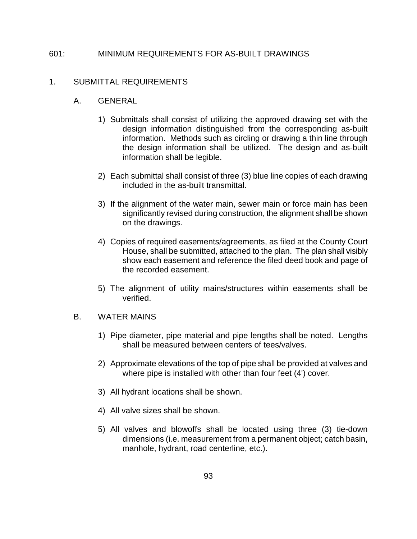# 601: MINIMUM REQUIREMENTS FOR AS-BUILT DRAWINGS

# 1. SUBMITTAL REQUIREMENTS

## A. GENERAL

- 1) Submittals shall consist of utilizing the approved drawing set with the design information distinguished from the corresponding as-built information. Methods such as circling or drawing a thin line through the design information shall be utilized. The design and as-built information shall be legible.
- 2) Each submittal shall consist of three (3) blue line copies of each drawing included in the as-built transmittal.
- 3) If the alignment of the water main, sewer main or force main has been significantly revised during construction, the alignment shall be shown on the drawings.
- 4) Copies of required easements/agreements, as filed at the County Court House, shall be submitted, attached to the plan. The plan shall visibly show each easement and reference the filed deed book and page of the recorded easement.
- 5) The alignment of utility mains/structures within easements shall be verified.

## B. WATER MAINS

- 1) Pipe diameter, pipe material and pipe lengths shall be noted. Lengths shall be measured between centers of tees/valves.
- 2) Approximate elevations of the top of pipe shall be provided at valves and where pipe is installed with other than four feet (4') cover.
- 3) All hydrant locations shall be shown.
- 4) All valve sizes shall be shown.
- 5) All valves and blowoffs shall be located using three (3) tie-down dimensions (i.e. measurement from a permanent object; catch basin, manhole, hydrant, road centerline, etc.).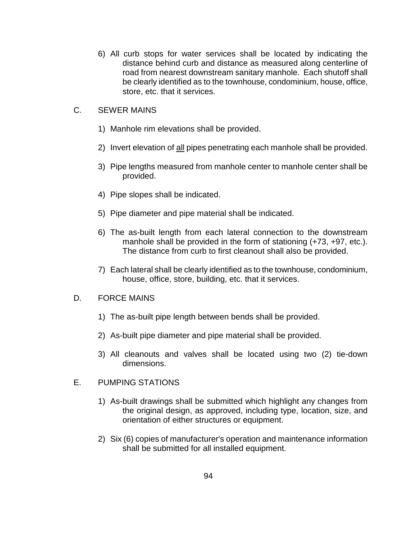6) All curb stops for water services shall be located by indicating the distance behind curb and distance as measured along centerline of road from nearest downstream sanitary manhole. Each shutoff shall be clearly identified as to the townhouse, condominium, house, office, store, etc. that it services.

# C. SEWER MAINS

- 1) Manhole rim elevations shall be provided.
- 2) Invert elevation of all pipes penetrating each manhole shall be provided.
- 3) Pipe lengths measured from manhole center to manhole center shall be provided.
- 4) Pipe slopes shall be indicated.
- 5) Pipe diameter and pipe material shall be indicated.
- 6) The as-built length from each lateral connection to the downstream manhole shall be provided in the form of stationing (+73, +97, etc.). The distance from curb to first cleanout shall also be provided.
- 7) Each lateral shall be clearly identified as to the townhouse, condominium, house, office, store, building, etc. that it services.

### D. FORCE MAINS

- 1) The as-built pipe length between bends shall be provided.
- 2) As-built pipe diameter and pipe material shall be provided.
- 3) All cleanouts and valves shall be located using two (2) tie-down dimensions.

# E. PUMPING STATIONS

- 1) As-built drawings shall be submitted which highlight any changes from the original design, as approved, including type, location, size, and orientation of either structures or equipment.
- 2) Six (6) copies of manufacturer's operation and maintenance information shall be submitted for all installed equipment.